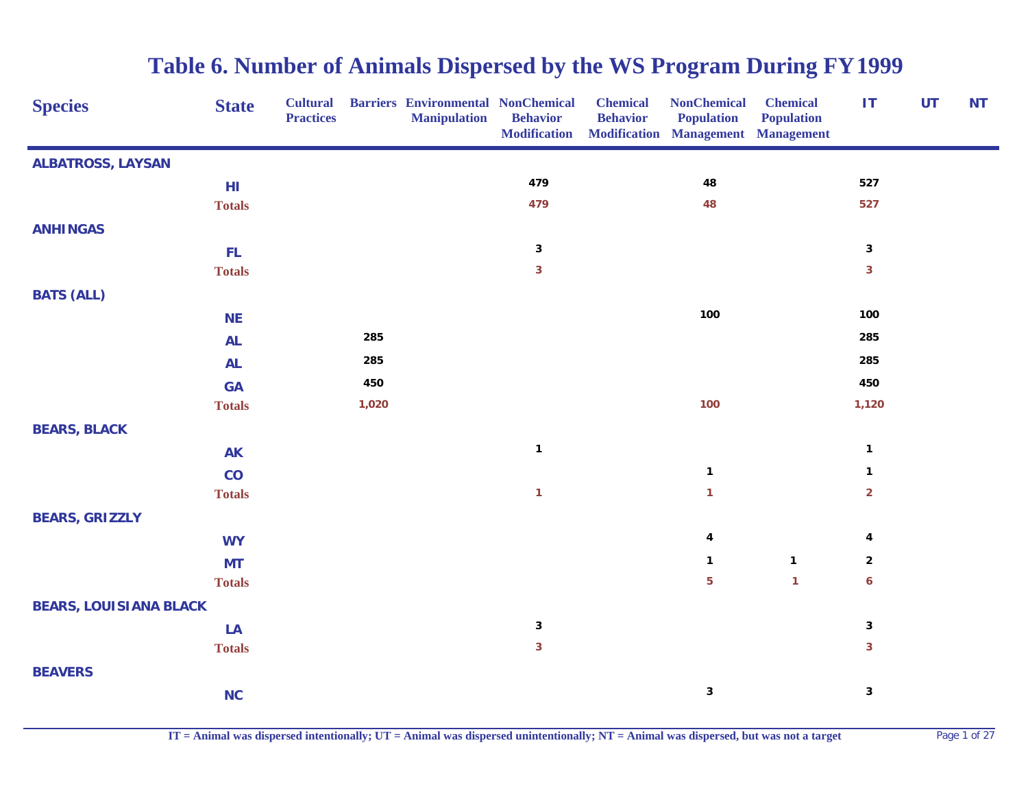| <b>Species</b>                | <b>State</b>  | <b>Cultural</b><br><b>Practices</b> |       | <b>Barriers Environmental NonChemical</b><br><b>Manipulation</b> | <b>Behavior</b><br><b>Modification</b> | <b>Chemical</b><br><b>Behavior</b> | <b>NonChemical</b><br><b>Population</b><br><b>Modification Management Management</b> | <b>Chemical</b><br><b>Population</b> | <b>IT</b>        | UT | <b>NT</b> |
|-------------------------------|---------------|-------------------------------------|-------|------------------------------------------------------------------|----------------------------------------|------------------------------------|--------------------------------------------------------------------------------------|--------------------------------------|------------------|----|-----------|
| <b>ALBATROSS, LAYSAN</b>      |               |                                     |       |                                                                  |                                        |                                    |                                                                                      |                                      |                  |    |           |
|                               | H1            |                                     |       |                                                                  | 479                                    |                                    | 48                                                                                   |                                      | 527              |    |           |
|                               | <b>Totals</b> |                                     |       |                                                                  | 479                                    |                                    | 48                                                                                   |                                      | 527              |    |           |
| <b>ANHINGAS</b>               |               |                                     |       |                                                                  |                                        |                                    |                                                                                      |                                      |                  |    |           |
|                               | FL.           |                                     |       |                                                                  | $\mathbf{3}$                           |                                    |                                                                                      |                                      | $\mathbf{3}$     |    |           |
|                               | <b>Totals</b> |                                     |       |                                                                  | $\mathbf{3}$                           |                                    |                                                                                      |                                      | $\mathbf{3}$     |    |           |
| <b>BATS (ALL)</b>             |               |                                     |       |                                                                  |                                        |                                    |                                                                                      |                                      |                  |    |           |
|                               | <b>NE</b>     |                                     |       |                                                                  |                                        |                                    | 100                                                                                  |                                      | 100              |    |           |
|                               | <b>AL</b>     |                                     | 285   |                                                                  |                                        |                                    |                                                                                      |                                      | 285              |    |           |
|                               | <b>AL</b>     |                                     | 285   |                                                                  |                                        |                                    |                                                                                      |                                      | 285              |    |           |
|                               | <b>GA</b>     |                                     | 450   |                                                                  |                                        |                                    |                                                                                      |                                      | 450              |    |           |
|                               | <b>Totals</b> |                                     | 1,020 |                                                                  |                                        |                                    | 100                                                                                  |                                      | 1,120            |    |           |
| <b>BEARS, BLACK</b>           |               |                                     |       |                                                                  |                                        |                                    |                                                                                      |                                      |                  |    |           |
|                               | <b>AK</b>     |                                     |       |                                                                  | $\mathbf{1}$                           |                                    |                                                                                      |                                      | $\mathbf{1}$     |    |           |
|                               | CO            |                                     |       |                                                                  |                                        |                                    | $\mathbf{1}$                                                                         |                                      | $\mathbf 1$      |    |           |
|                               | <b>Totals</b> |                                     |       |                                                                  | $\mathbf{1}$                           |                                    | $\mathbf{1}$                                                                         |                                      | $\overline{2}$   |    |           |
| <b>BEARS, GRIZZLY</b>         |               |                                     |       |                                                                  |                                        |                                    |                                                                                      |                                      |                  |    |           |
|                               | <b>WY</b>     |                                     |       |                                                                  |                                        |                                    | 4                                                                                    |                                      | 4                |    |           |
|                               | <b>MT</b>     |                                     |       |                                                                  |                                        |                                    | $\mathbf{1}$                                                                         | $\mathbf{1}$                         | $\mathbf{2}$     |    |           |
|                               | <b>Totals</b> |                                     |       |                                                                  |                                        |                                    | 5                                                                                    | $\mathbf{1}$                         | $\boldsymbol{6}$ |    |           |
| <b>BEARS, LOUISIANA BLACK</b> |               |                                     |       |                                                                  |                                        |                                    |                                                                                      |                                      |                  |    |           |
|                               | LA            |                                     |       |                                                                  | $\mathbf{3}$                           |                                    |                                                                                      |                                      | $\mathbf 3$      |    |           |
|                               | <b>Totals</b> |                                     |       |                                                                  | $\mathbf{3}$                           |                                    |                                                                                      |                                      | $\mathbf{3}$     |    |           |
| <b>BEAVERS</b>                |               |                                     |       |                                                                  |                                        |                                    |                                                                                      |                                      |                  |    |           |
|                               | NC            |                                     |       |                                                                  |                                        |                                    | $\mathbf 3$                                                                          |                                      | $\mathbf 3$      |    |           |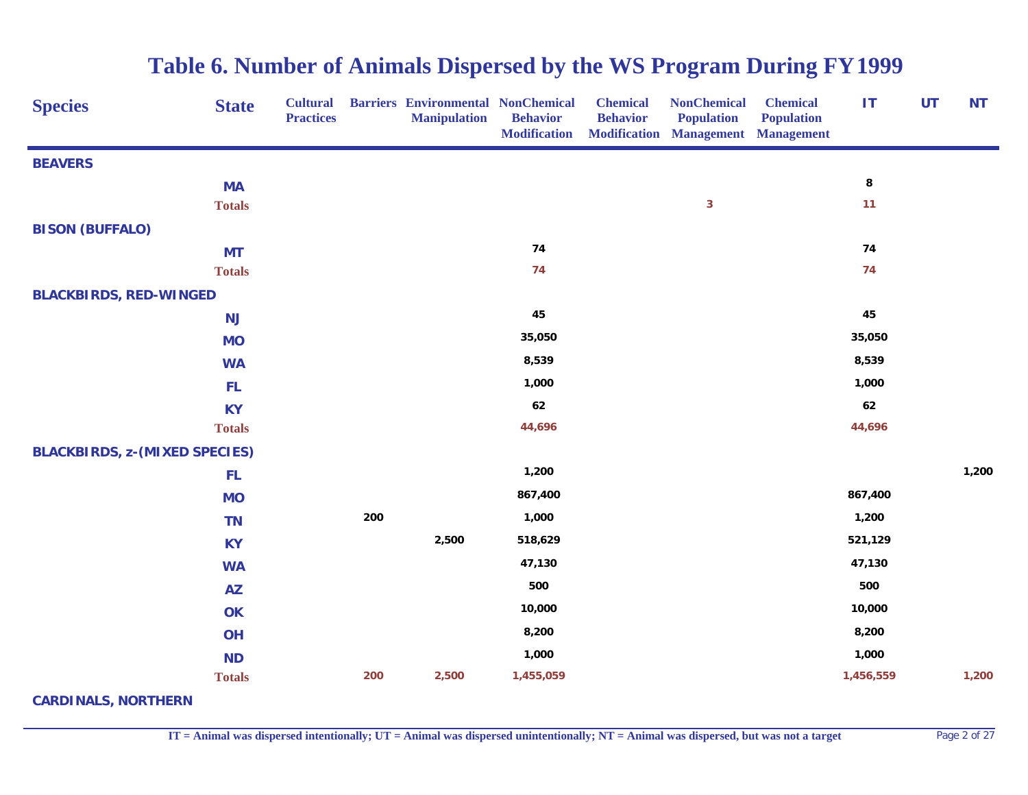| <b>Species</b>                       | <b>State</b>  | <b>Cultural</b><br><b>Practices</b> |     | <b>Barriers Environmental NonChemical</b><br><b>Manipulation</b> | <b>Behavior</b><br><b>Modification</b> | <b>Chemical</b><br><b>Behavior</b> | <b>NonChemical</b><br><b>Population</b><br><b>Modification Management Management</b> | <b>Chemical</b><br><b>Population</b> | ΙT        | UT | <b>NT</b> |
|--------------------------------------|---------------|-------------------------------------|-----|------------------------------------------------------------------|----------------------------------------|------------------------------------|--------------------------------------------------------------------------------------|--------------------------------------|-----------|----|-----------|
| <b>BEAVERS</b>                       |               |                                     |     |                                                                  |                                        |                                    |                                                                                      |                                      |           |    |           |
|                                      | <b>MA</b>     |                                     |     |                                                                  |                                        |                                    |                                                                                      |                                      | ${\bf 8}$ |    |           |
|                                      | <b>Totals</b> |                                     |     |                                                                  |                                        |                                    | $\mathbf{3}$                                                                         |                                      | 11        |    |           |
| <b>BISON (BUFFALO)</b>               |               |                                     |     |                                                                  |                                        |                                    |                                                                                      |                                      |           |    |           |
|                                      | <b>MT</b>     |                                     |     |                                                                  | 74                                     |                                    |                                                                                      |                                      | 74        |    |           |
|                                      | <b>Totals</b> |                                     |     |                                                                  | 74                                     |                                    |                                                                                      |                                      | 74        |    |           |
| <b>BLACKBIRDS, RED-WINGED</b>        |               |                                     |     |                                                                  |                                        |                                    |                                                                                      |                                      |           |    |           |
|                                      | <b>NJ</b>     |                                     |     |                                                                  | 45                                     |                                    |                                                                                      |                                      | 45        |    |           |
|                                      | <b>MO</b>     |                                     |     |                                                                  | 35,050                                 |                                    |                                                                                      |                                      | 35,050    |    |           |
|                                      | <b>WA</b>     |                                     |     |                                                                  | 8,539                                  |                                    |                                                                                      |                                      | 8,539     |    |           |
|                                      | FL.           |                                     |     |                                                                  | 1,000                                  |                                    |                                                                                      |                                      | 1,000     |    |           |
|                                      | <b>KY</b>     |                                     |     |                                                                  | 62                                     |                                    |                                                                                      |                                      | 62        |    |           |
|                                      | <b>Totals</b> |                                     |     |                                                                  | 44,696                                 |                                    |                                                                                      |                                      | 44,696    |    |           |
| <b>BLACKBIRDS, z-(MIXED SPECIES)</b> |               |                                     |     |                                                                  |                                        |                                    |                                                                                      |                                      |           |    |           |
|                                      | FL.           |                                     |     |                                                                  | 1,200                                  |                                    |                                                                                      |                                      |           |    | 1,200     |
|                                      | <b>MO</b>     |                                     |     |                                                                  | 867,400                                |                                    |                                                                                      |                                      | 867,400   |    |           |
|                                      | <b>TN</b>     |                                     | 200 |                                                                  | 1,000                                  |                                    |                                                                                      |                                      | 1,200     |    |           |
|                                      | <b>KY</b>     |                                     |     | 2,500                                                            | 518,629                                |                                    |                                                                                      |                                      | 521,129   |    |           |
|                                      | <b>WA</b>     |                                     |     |                                                                  | 47,130                                 |                                    |                                                                                      |                                      | 47,130    |    |           |
|                                      | <b>AZ</b>     |                                     |     |                                                                  | 500                                    |                                    |                                                                                      |                                      | 500       |    |           |
|                                      | OK            |                                     |     |                                                                  | 10,000                                 |                                    |                                                                                      |                                      | 10,000    |    |           |
|                                      | OH            |                                     |     |                                                                  | 8,200                                  |                                    |                                                                                      |                                      | 8,200     |    |           |
|                                      | <b>ND</b>     |                                     |     |                                                                  | 1,000                                  |                                    |                                                                                      |                                      | 1,000     |    |           |
|                                      | <b>Totals</b> |                                     | 200 | 2,500                                                            | 1,455,059                              |                                    |                                                                                      |                                      | 1,456,559 |    | 1,200     |

**CARDINALS, NORTHERN**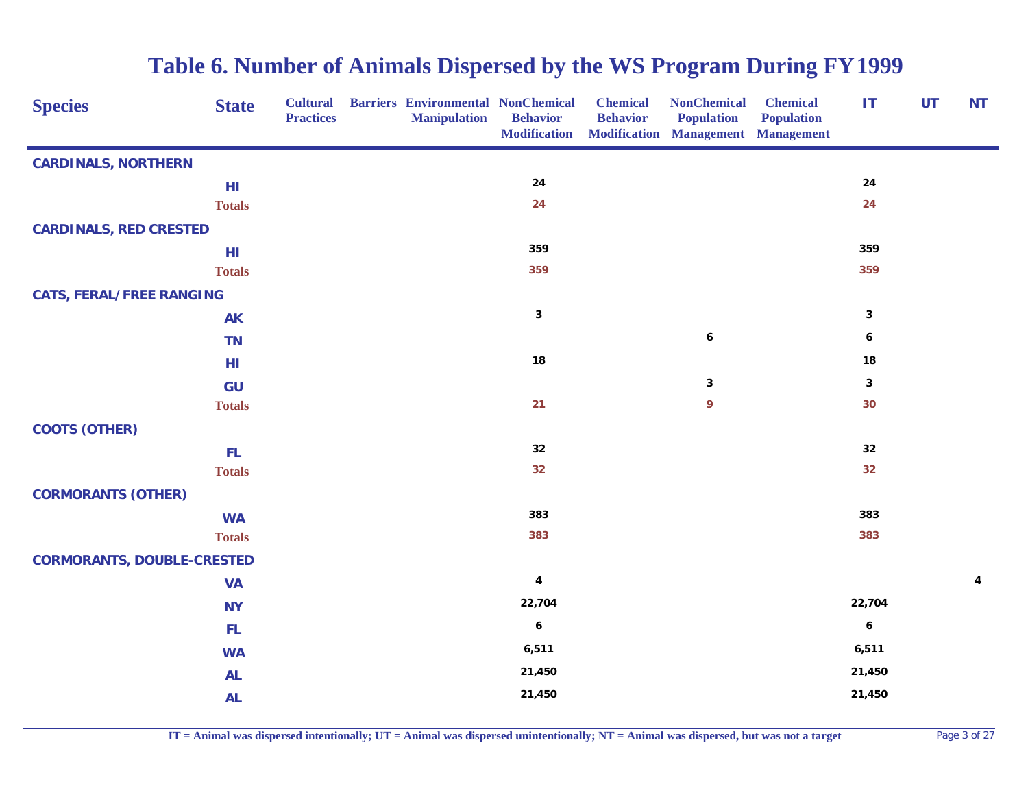| <b>Species</b>                    | <b>State</b>  | <b>Cultural</b><br><b>Practices</b> | <b>Barriers Environmental NonChemical</b><br><b>Manipulation</b> | <b>Behavior</b><br><b>Modification</b> | <b>Chemical</b><br><b>Behavior</b> | <b>NonChemical</b><br><b>Population</b><br><b>Modification Management Management</b> | <b>Chemical</b><br><b>Population</b> | IT               | <b>UT</b> | <b>NT</b> |
|-----------------------------------|---------------|-------------------------------------|------------------------------------------------------------------|----------------------------------------|------------------------------------|--------------------------------------------------------------------------------------|--------------------------------------|------------------|-----------|-----------|
| <b>CARDINALS, NORTHERN</b>        |               |                                     |                                                                  |                                        |                                    |                                                                                      |                                      |                  |           |           |
|                                   | HI            |                                     |                                                                  | ${\bf 24}$                             |                                    |                                                                                      |                                      | ${\bf 24}$       |           |           |
|                                   | <b>Totals</b> |                                     |                                                                  | 24                                     |                                    |                                                                                      |                                      | 24               |           |           |
| <b>CARDINALS, RED CRESTED</b>     |               |                                     |                                                                  |                                        |                                    |                                                                                      |                                      |                  |           |           |
|                                   | HI            |                                     |                                                                  | 359                                    |                                    |                                                                                      |                                      | 359              |           |           |
|                                   | <b>Totals</b> |                                     |                                                                  | 359                                    |                                    |                                                                                      |                                      | 359              |           |           |
| <b>CATS, FERAL/FREE RANGING</b>   |               |                                     |                                                                  |                                        |                                    |                                                                                      |                                      |                  |           |           |
|                                   | <b>AK</b>     |                                     |                                                                  | $\mathbf 3$                            |                                    |                                                                                      |                                      | $\mathbf 3$      |           |           |
|                                   | <b>TN</b>     |                                     |                                                                  |                                        |                                    | $\boldsymbol{6}$                                                                     |                                      | 6                |           |           |
|                                   | HI            |                                     |                                                                  | ${\bf 18}$                             |                                    |                                                                                      |                                      | ${\bf 18}$       |           |           |
|                                   | GU            |                                     |                                                                  |                                        |                                    | $\mathbf{3}$                                                                         |                                      | $\mathbf{3}$     |           |           |
|                                   | <b>Totals</b> |                                     |                                                                  | 21                                     |                                    | $\mathbf{9}$                                                                         |                                      | 30               |           |           |
| <b>COOTS (OTHER)</b>              |               |                                     |                                                                  |                                        |                                    |                                                                                      |                                      |                  |           |           |
|                                   | FL.           |                                     |                                                                  | 32                                     |                                    |                                                                                      |                                      | 32               |           |           |
|                                   | <b>Totals</b> |                                     |                                                                  | 32                                     |                                    |                                                                                      |                                      | 32               |           |           |
| <b>CORMORANTS (OTHER)</b>         |               |                                     |                                                                  |                                        |                                    |                                                                                      |                                      |                  |           |           |
|                                   | <b>WA</b>     |                                     |                                                                  | 383                                    |                                    |                                                                                      |                                      | 383              |           |           |
|                                   | <b>Totals</b> |                                     |                                                                  | 383                                    |                                    |                                                                                      |                                      | 383              |           |           |
| <b>CORMORANTS, DOUBLE-CRESTED</b> |               |                                     |                                                                  |                                        |                                    |                                                                                      |                                      |                  |           |           |
|                                   | <b>VA</b>     |                                     |                                                                  | 4                                      |                                    |                                                                                      |                                      |                  |           | 4         |
|                                   | <b>NY</b>     |                                     |                                                                  | 22,704                                 |                                    |                                                                                      |                                      | 22,704           |           |           |
|                                   | FL.           |                                     |                                                                  | $\boldsymbol{6}$                       |                                    |                                                                                      |                                      | $\boldsymbol{6}$ |           |           |
|                                   | <b>WA</b>     |                                     |                                                                  | 6,511                                  |                                    |                                                                                      |                                      | 6,511            |           |           |
|                                   | <b>AL</b>     |                                     |                                                                  | 21,450                                 |                                    |                                                                                      |                                      | 21,450           |           |           |
|                                   | <b>AL</b>     |                                     |                                                                  | 21,450                                 |                                    |                                                                                      |                                      | 21,450           |           |           |

**IT = Animal was dispersed intentionally; UT = Animal was dispersed unintentionally; NT = Animal was dispersed, but was not a target** Page 3 of 27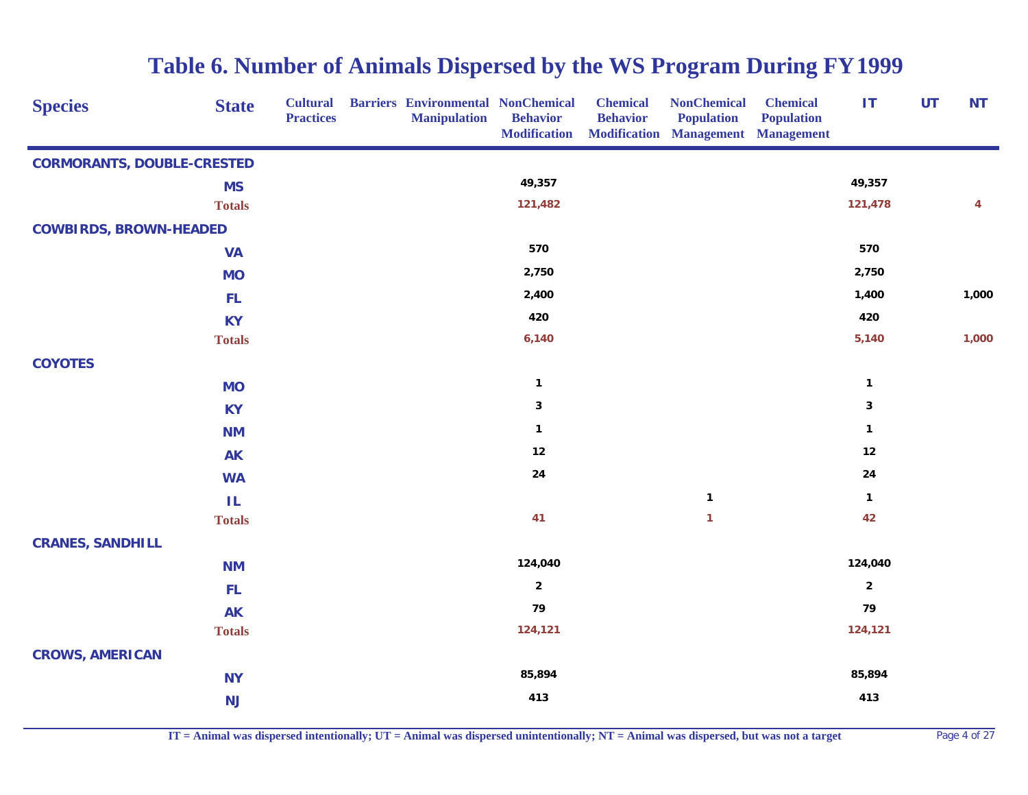| <b>Species</b>                    | <b>State</b>  | <b>Cultural</b><br><b>Practices</b> | <b>Barriers Environmental NonChemical</b><br><b>Manipulation</b> | <b>Behavior</b><br><b>Modification</b> | <b>Chemical</b><br><b>Behavior</b> | <b>NonChemical</b><br><b>Population</b><br><b>Modification Management Management</b> | <b>Chemical</b><br><b>Population</b> | IT             | <b>UT</b> | <b>NT</b> |
|-----------------------------------|---------------|-------------------------------------|------------------------------------------------------------------|----------------------------------------|------------------------------------|--------------------------------------------------------------------------------------|--------------------------------------|----------------|-----------|-----------|
| <b>CORMORANTS, DOUBLE-CRESTED</b> |               |                                     |                                                                  |                                        |                                    |                                                                                      |                                      |                |           |           |
|                                   | <b>MS</b>     |                                     |                                                                  | 49,357                                 |                                    |                                                                                      |                                      | 49,357         |           |           |
|                                   | <b>Totals</b> |                                     |                                                                  | 121,482                                |                                    |                                                                                      |                                      | 121,478        |           | 4         |
| <b>COWBIRDS, BROWN-HEADED</b>     |               |                                     |                                                                  |                                        |                                    |                                                                                      |                                      |                |           |           |
|                                   | <b>VA</b>     |                                     |                                                                  | 570                                    |                                    |                                                                                      |                                      | 570            |           |           |
|                                   | <b>MO</b>     |                                     |                                                                  | 2,750                                  |                                    |                                                                                      |                                      | 2,750          |           |           |
|                                   | <b>FL</b>     |                                     |                                                                  | 2,400                                  |                                    |                                                                                      |                                      | 1,400          |           | 1,000     |
|                                   | <b>KY</b>     |                                     |                                                                  | 420                                    |                                    |                                                                                      |                                      | 420            |           |           |
|                                   | <b>Totals</b> |                                     |                                                                  | 6,140                                  |                                    |                                                                                      |                                      | 5,140          |           | 1,000     |
| <b>COYOTES</b>                    |               |                                     |                                                                  |                                        |                                    |                                                                                      |                                      |                |           |           |
|                                   | <b>MO</b>     |                                     |                                                                  | $\mathbf{1}$                           |                                    |                                                                                      |                                      | $\mathbf{1}$   |           |           |
|                                   | <b>KY</b>     |                                     |                                                                  | $\mathbf{3}$                           |                                    |                                                                                      |                                      | $\mathbf 3$    |           |           |
|                                   | <b>NM</b>     |                                     |                                                                  | $\mathbf 1$                            |                                    |                                                                                      |                                      | $\mathbf{1}$   |           |           |
|                                   | <b>AK</b>     |                                     |                                                                  | $12$                                   |                                    |                                                                                      |                                      | $12$           |           |           |
|                                   | <b>WA</b>     |                                     |                                                                  | 24                                     |                                    |                                                                                      |                                      | ${\bf 24}$     |           |           |
|                                   | ΙL            |                                     |                                                                  |                                        |                                    | $\mathbf{1}$                                                                         |                                      | $\mathbf{1}$   |           |           |
|                                   | <b>Totals</b> |                                     |                                                                  | 41                                     |                                    | $\mathbf{1}$                                                                         |                                      | 42             |           |           |
| <b>CRANES, SANDHILL</b>           |               |                                     |                                                                  |                                        |                                    |                                                                                      |                                      |                |           |           |
|                                   | <b>NM</b>     |                                     |                                                                  | 124,040                                |                                    |                                                                                      |                                      | 124,040        |           |           |
|                                   | FL            |                                     |                                                                  | $\mathbf{2}$                           |                                    |                                                                                      |                                      | $\overline{2}$ |           |           |
|                                   | <b>AK</b>     |                                     |                                                                  | 79                                     |                                    |                                                                                      |                                      | 79             |           |           |
|                                   | <b>Totals</b> |                                     |                                                                  | 124,121                                |                                    |                                                                                      |                                      | 124,121        |           |           |
| <b>CROWS, AMERICAN</b>            |               |                                     |                                                                  |                                        |                                    |                                                                                      |                                      |                |           |           |
|                                   | <b>NY</b>     |                                     |                                                                  | 85,894                                 |                                    |                                                                                      |                                      | 85,894         |           |           |
|                                   | NJ            |                                     |                                                                  | 413                                    |                                    |                                                                                      |                                      | 413            |           |           |

**IT = Animal was dispersed intentionally; UT = Animal was dispersed unintentionally; NT = Animal was dispersed, but was not a target** Page 4 of 27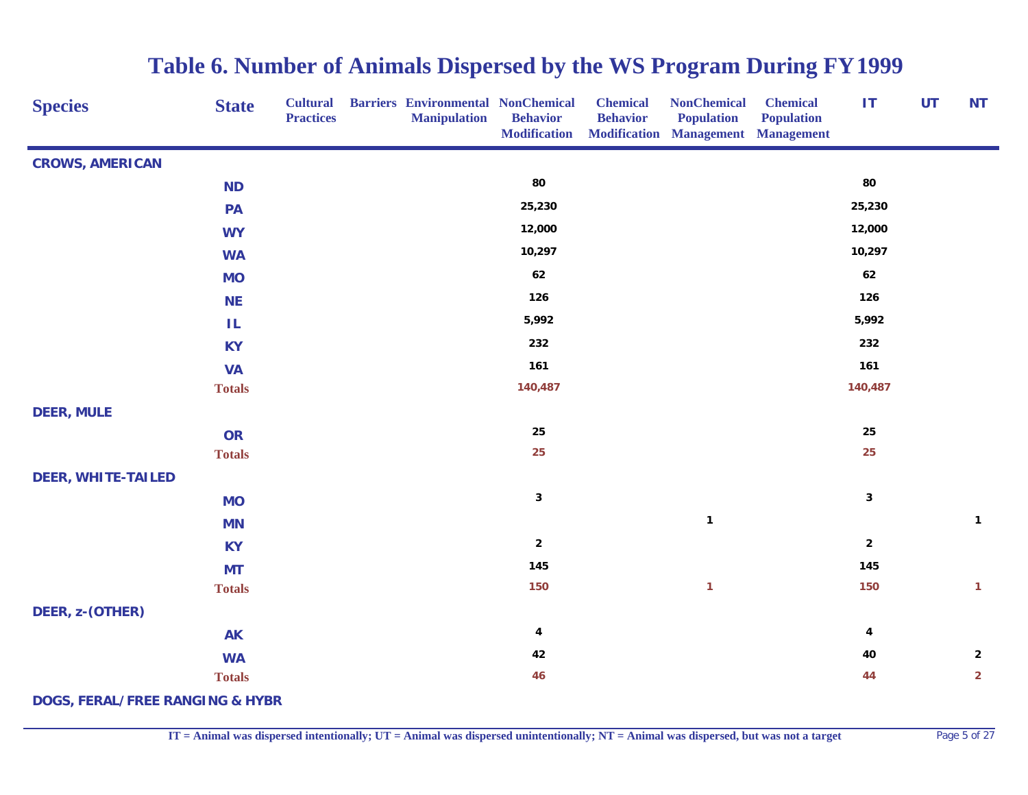| <b>Species</b>                             | <b>State</b>  | <b>Cultural</b><br><b>Practices</b> | <b>Barriers Environmental NonChemical</b><br><b>Manipulation</b> | <b>Behavior</b><br><b>Modification</b> | <b>Chemical</b><br><b>Behavior</b> | <b>NonChemical</b><br><b>Population</b><br><b>Modification Management Management</b> | <b>Chemical</b><br><b>Population</b> | <b>IT</b>      | <b>UT</b> | <b>NT</b>      |
|--------------------------------------------|---------------|-------------------------------------|------------------------------------------------------------------|----------------------------------------|------------------------------------|--------------------------------------------------------------------------------------|--------------------------------------|----------------|-----------|----------------|
| <b>CROWS, AMERICAN</b>                     |               |                                     |                                                                  |                                        |                                    |                                                                                      |                                      |                |           |                |
|                                            | <b>ND</b>     |                                     |                                                                  | 80                                     |                                    |                                                                                      |                                      | 80             |           |                |
|                                            | PA            |                                     |                                                                  | 25,230                                 |                                    |                                                                                      |                                      | 25,230         |           |                |
|                                            | <b>WY</b>     |                                     |                                                                  | 12,000                                 |                                    |                                                                                      |                                      | 12,000         |           |                |
|                                            | <b>WA</b>     |                                     |                                                                  | 10,297                                 |                                    |                                                                                      |                                      | 10,297         |           |                |
|                                            | <b>MO</b>     |                                     |                                                                  | 62                                     |                                    |                                                                                      |                                      | 62             |           |                |
|                                            | <b>NE</b>     |                                     |                                                                  | 126                                    |                                    |                                                                                      |                                      | 126            |           |                |
|                                            | ΙL            |                                     |                                                                  | 5,992                                  |                                    |                                                                                      |                                      | 5,992          |           |                |
|                                            | <b>KY</b>     |                                     |                                                                  | 232                                    |                                    |                                                                                      |                                      | 232            |           |                |
|                                            | <b>VA</b>     |                                     |                                                                  | 161                                    |                                    |                                                                                      |                                      | 161            |           |                |
|                                            | <b>Totals</b> |                                     |                                                                  | 140,487                                |                                    |                                                                                      |                                      | 140,487        |           |                |
| <b>DEER, MULE</b>                          |               |                                     |                                                                  |                                        |                                    |                                                                                      |                                      |                |           |                |
|                                            | <b>OR</b>     |                                     |                                                                  | 25                                     |                                    |                                                                                      |                                      | 25             |           |                |
|                                            | <b>Totals</b> |                                     |                                                                  | 25                                     |                                    |                                                                                      |                                      | 25             |           |                |
| <b>DEER, WHITE-TAILED</b>                  |               |                                     |                                                                  |                                        |                                    |                                                                                      |                                      |                |           |                |
|                                            | <b>MO</b>     |                                     |                                                                  | $\mathbf{3}$                           |                                    |                                                                                      |                                      | $\mathbf{3}$   |           |                |
|                                            | <b>MN</b>     |                                     |                                                                  |                                        |                                    | $\mathbf{1}$                                                                         |                                      |                |           | $\mathbf{1}$   |
|                                            | <b>KY</b>     |                                     |                                                                  | $\overline{2}$                         |                                    |                                                                                      |                                      | $\overline{2}$ |           |                |
|                                            | <b>MT</b>     |                                     |                                                                  | 145                                    |                                    |                                                                                      |                                      | 145            |           |                |
|                                            | <b>Totals</b> |                                     |                                                                  | 150                                    |                                    | $\mathbf{1}$                                                                         |                                      | 150            |           | $\mathbf{1}$   |
| DEER, z-(OTHER)                            |               |                                     |                                                                  |                                        |                                    |                                                                                      |                                      |                |           |                |
|                                            | <b>AK</b>     |                                     |                                                                  | $\boldsymbol{4}$                       |                                    |                                                                                      |                                      | 4              |           |                |
|                                            | <b>WA</b>     |                                     |                                                                  | 42                                     |                                    |                                                                                      |                                      | 40             |           | $\mathbf{2}$   |
|                                            | <b>Totals</b> |                                     |                                                                  | 46                                     |                                    |                                                                                      |                                      | 44             |           | $\overline{2}$ |
| <b>DOGS, FERAL/FREE RANGING &amp; HYBR</b> |               |                                     |                                                                  |                                        |                                    |                                                                                      |                                      |                |           |                |

**IT = Animal was dispersed intentionally; UT = Animal was dispersed unintentionally; NT = Animal was dispersed, but was not a target** Page 5 of 27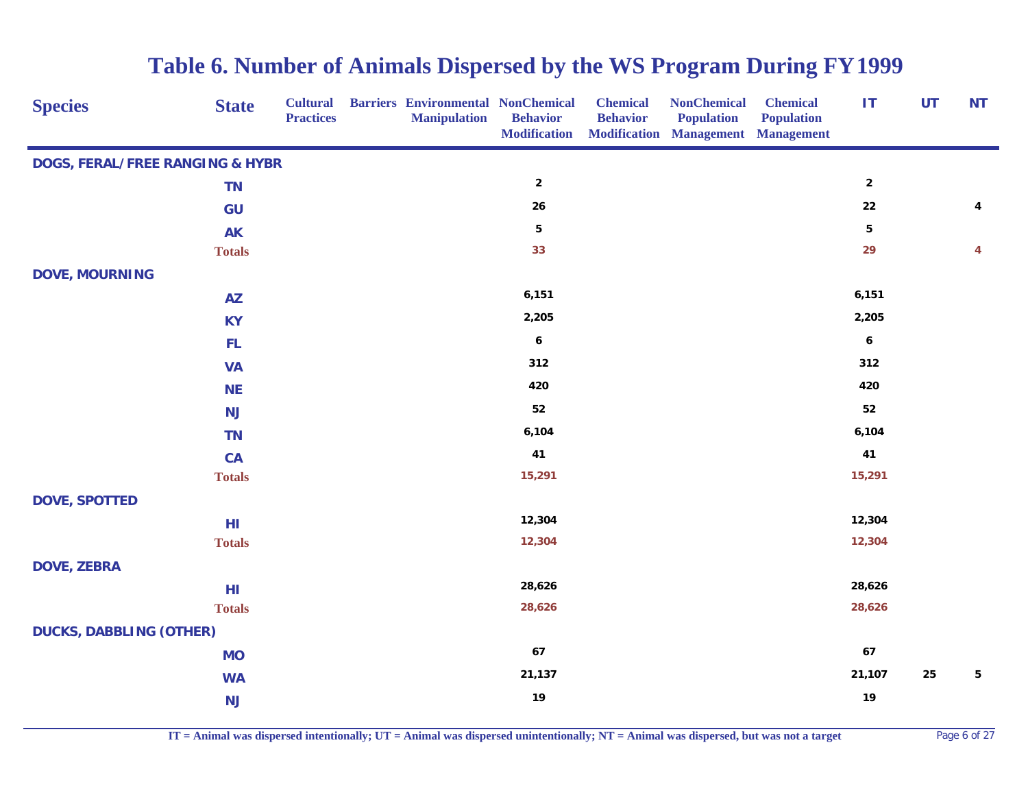| <b>Species</b>                             | <b>State</b>  | <b>Cultural</b><br><b>Practices</b> | <b>Barriers Environmental NonChemical</b><br><b>Manipulation</b> | <b>Behavior</b><br><b>Modification</b> | <b>Chemical</b><br><b>Behavior</b> | <b>NonChemical</b><br><b>Population</b><br><b>Modification Management Management</b> | <b>Chemical</b><br><b>Population</b> | <b>IT</b>        | <b>UT</b> | <b>NT</b> |
|--------------------------------------------|---------------|-------------------------------------|------------------------------------------------------------------|----------------------------------------|------------------------------------|--------------------------------------------------------------------------------------|--------------------------------------|------------------|-----------|-----------|
| <b>DOGS, FERAL/FREE RANGING &amp; HYBR</b> |               |                                     |                                                                  |                                        |                                    |                                                                                      |                                      |                  |           |           |
|                                            | <b>TN</b>     |                                     |                                                                  | $\mathbf 2$                            |                                    |                                                                                      |                                      | $\mathbf 2$      |           |           |
|                                            | GU            |                                     |                                                                  | ${\bf 26}$                             |                                    |                                                                                      |                                      | ${\bf 22}$       |           | 4         |
|                                            | <b>AK</b>     |                                     |                                                                  | ${\bf 5}$                              |                                    |                                                                                      |                                      | ${\bf 5}$        |           |           |
|                                            | <b>Totals</b> |                                     |                                                                  | 33                                     |                                    |                                                                                      |                                      | 29               |           | 4         |
| <b>DOVE, MOURNING</b>                      |               |                                     |                                                                  |                                        |                                    |                                                                                      |                                      |                  |           |           |
|                                            | <b>AZ</b>     |                                     |                                                                  | 6,151                                  |                                    |                                                                                      |                                      | 6,151            |           |           |
|                                            | <b>KY</b>     |                                     |                                                                  | 2,205                                  |                                    |                                                                                      |                                      | 2,205            |           |           |
|                                            | FL.           |                                     |                                                                  | $\pmb{6}$                              |                                    |                                                                                      |                                      | $\boldsymbol{6}$ |           |           |
|                                            | <b>VA</b>     |                                     |                                                                  | 312                                    |                                    |                                                                                      |                                      | 312              |           |           |
|                                            | <b>NE</b>     |                                     |                                                                  | 420                                    |                                    |                                                                                      |                                      | 420              |           |           |
|                                            | <b>NJ</b>     |                                     |                                                                  | 52                                     |                                    |                                                                                      |                                      | 52               |           |           |
|                                            | <b>TN</b>     |                                     |                                                                  | 6,104                                  |                                    |                                                                                      |                                      | 6,104            |           |           |
|                                            | CA            |                                     |                                                                  | 41                                     |                                    |                                                                                      |                                      | 41               |           |           |
|                                            | <b>Totals</b> |                                     |                                                                  | 15,291                                 |                                    |                                                                                      |                                      | 15,291           |           |           |
| <b>DOVE, SPOTTED</b>                       |               |                                     |                                                                  |                                        |                                    |                                                                                      |                                      |                  |           |           |
|                                            | HI            |                                     |                                                                  | 12,304                                 |                                    |                                                                                      |                                      | 12,304           |           |           |
|                                            | <b>Totals</b> |                                     |                                                                  | 12,304                                 |                                    |                                                                                      |                                      | 12,304           |           |           |
| <b>DOVE, ZEBRA</b>                         |               |                                     |                                                                  |                                        |                                    |                                                                                      |                                      |                  |           |           |
|                                            | HI            |                                     |                                                                  | 28,626                                 |                                    |                                                                                      |                                      | 28,626           |           |           |
|                                            | <b>Totals</b> |                                     |                                                                  | 28,626                                 |                                    |                                                                                      |                                      | 28,626           |           |           |
| <b>DUCKS, DABBLING (OTHER)</b>             |               |                                     |                                                                  |                                        |                                    |                                                                                      |                                      |                  |           |           |
|                                            | <b>MO</b>     |                                     |                                                                  | 67                                     |                                    |                                                                                      |                                      | 67               |           |           |
|                                            | <b>WA</b>     |                                     |                                                                  | 21,137                                 |                                    |                                                                                      |                                      | 21,107           | 25        | 5         |
|                                            | <b>NJ</b>     |                                     |                                                                  | 19                                     |                                    |                                                                                      |                                      | 19               |           |           |

**IT = Animal was dispersed intentionally; UT = Animal was dispersed unintentionally; NT = Animal was dispersed, but was not a target** Page 6 of 27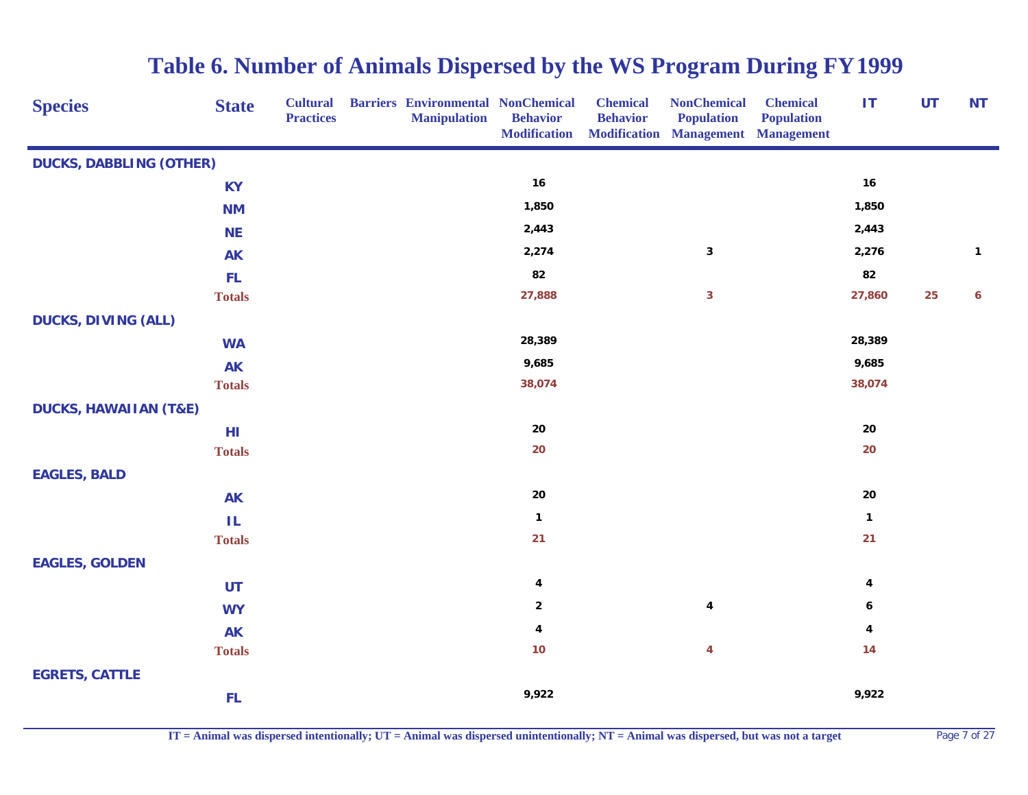| <b>Species</b>                   | <b>State</b>  | <b>Cultural</b><br><b>Practices</b> | <b>Barriers Environmental NonChemical</b><br><b>Manipulation</b> | <b>Behavior</b><br><b>Modification</b> | <b>Chemical</b><br><b>Behavior</b> | <b>NonChemical</b><br><b>Population</b><br><b>Modification Management Management</b> | <b>Chemical</b><br><b>Population</b> | <b>IT</b>    | <b>UT</b> | <b>NT</b> |
|----------------------------------|---------------|-------------------------------------|------------------------------------------------------------------|----------------------------------------|------------------------------------|--------------------------------------------------------------------------------------|--------------------------------------|--------------|-----------|-----------|
| <b>DUCKS, DABBLING (OTHER)</b>   |               |                                     |                                                                  |                                        |                                    |                                                                                      |                                      |              |           |           |
|                                  | <b>KY</b>     |                                     |                                                                  | 16                                     |                                    |                                                                                      |                                      | 16           |           |           |
|                                  | <b>NM</b>     |                                     |                                                                  | 1,850                                  |                                    |                                                                                      |                                      | 1,850        |           |           |
|                                  | <b>NE</b>     |                                     |                                                                  | 2,443                                  |                                    |                                                                                      |                                      | 2,443        |           |           |
|                                  | <b>AK</b>     |                                     |                                                                  | 2,274                                  |                                    | $\mathbf 3$                                                                          |                                      | 2,276        |           | 1         |
|                                  | <b>FL</b>     |                                     |                                                                  | 82                                     |                                    |                                                                                      |                                      | 82           |           |           |
|                                  | <b>Totals</b> |                                     |                                                                  | 27,888                                 |                                    | $\mathbf{3}$                                                                         |                                      | 27,860       | 25        | 6         |
| <b>DUCKS, DIVING (ALL)</b>       |               |                                     |                                                                  |                                        |                                    |                                                                                      |                                      |              |           |           |
|                                  | <b>WA</b>     |                                     |                                                                  | 28,389                                 |                                    |                                                                                      |                                      | 28,389       |           |           |
|                                  | <b>AK</b>     |                                     |                                                                  | 9,685                                  |                                    |                                                                                      |                                      | 9,685        |           |           |
|                                  | <b>Totals</b> |                                     |                                                                  | 38,074                                 |                                    |                                                                                      |                                      | 38,074       |           |           |
| <b>DUCKS, HAWAIIAN (T&amp;E)</b> |               |                                     |                                                                  |                                        |                                    |                                                                                      |                                      |              |           |           |
|                                  | HI            |                                     |                                                                  | 20                                     |                                    |                                                                                      |                                      | ${\bf 20}$   |           |           |
|                                  | <b>Totals</b> |                                     |                                                                  | 20                                     |                                    |                                                                                      |                                      | 20           |           |           |
| <b>EAGLES, BALD</b>              |               |                                     |                                                                  |                                        |                                    |                                                                                      |                                      |              |           |           |
|                                  | <b>AK</b>     |                                     |                                                                  | 20                                     |                                    |                                                                                      |                                      | 20           |           |           |
|                                  | $\mathsf{IL}$ |                                     |                                                                  | $\mathbf{1}$                           |                                    |                                                                                      |                                      | $\mathbf{1}$ |           |           |
|                                  | <b>Totals</b> |                                     |                                                                  | 21                                     |                                    |                                                                                      |                                      | 21           |           |           |
| <b>EAGLES, GOLDEN</b>            |               |                                     |                                                                  |                                        |                                    |                                                                                      |                                      |              |           |           |
|                                  | <b>UT</b>     |                                     |                                                                  | 4                                      |                                    |                                                                                      |                                      | 4            |           |           |
|                                  | <b>WY</b>     |                                     |                                                                  | $\mathbf{2}$                           |                                    | 4                                                                                    |                                      | 6            |           |           |
|                                  | <b>AK</b>     |                                     |                                                                  | 4                                      |                                    |                                                                                      |                                      | 4            |           |           |
|                                  | <b>Totals</b> |                                     |                                                                  | 10                                     |                                    | $\overline{\mathbf{4}}$                                                              |                                      | $14$         |           |           |
| <b>EGRETS, CATTLE</b>            |               |                                     |                                                                  |                                        |                                    |                                                                                      |                                      |              |           |           |
|                                  | FL            |                                     |                                                                  | 9,922                                  |                                    |                                                                                      |                                      | 9,922        |           |           |

**IT = Animal was dispersed intentionally; UT = Animal was dispersed unintentionally; NT = Animal was dispersed, but was not a target** Page 7 of 27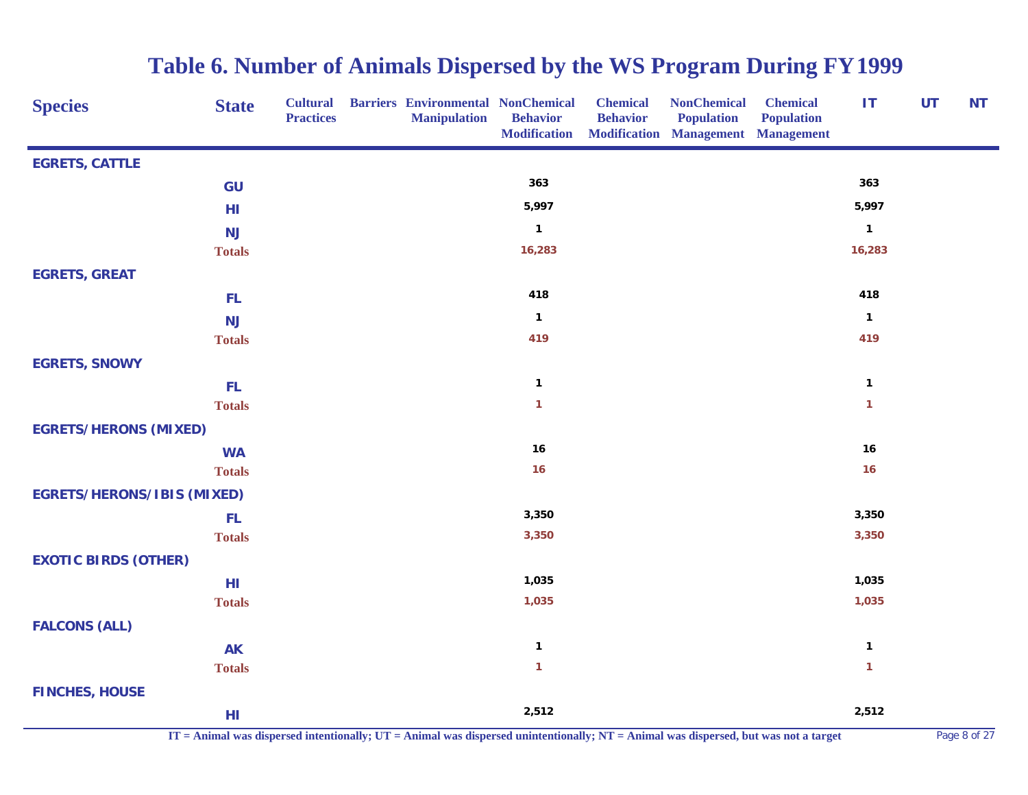| <b>Species</b>                    | <b>State</b>  | <b>Cultural</b><br><b>Practices</b> | <b>Barriers Environmental NonChemical</b><br><b>Manipulation</b> | <b>Behavior</b><br><b>Modification</b> | <b>Chemical</b><br><b>Behavior</b> | <b>NonChemical</b><br><b>Population</b><br><b>Modification Management Management</b> | <b>Chemical</b><br><b>Population</b> | IT           | <b>UT</b> | <b>NT</b> |
|-----------------------------------|---------------|-------------------------------------|------------------------------------------------------------------|----------------------------------------|------------------------------------|--------------------------------------------------------------------------------------|--------------------------------------|--------------|-----------|-----------|
| <b>EGRETS, CATTLE</b>             |               |                                     |                                                                  |                                        |                                    |                                                                                      |                                      |              |           |           |
|                                   | GU            |                                     |                                                                  | 363                                    |                                    |                                                                                      |                                      | 363          |           |           |
|                                   | HI            |                                     |                                                                  | 5,997                                  |                                    |                                                                                      |                                      | 5,997        |           |           |
|                                   | <b>NJ</b>     |                                     |                                                                  | $\mathbf{1}$                           |                                    |                                                                                      |                                      | $\mathbf{1}$ |           |           |
|                                   | <b>Totals</b> |                                     |                                                                  | 16,283                                 |                                    |                                                                                      |                                      | 16,283       |           |           |
| <b>EGRETS, GREAT</b>              |               |                                     |                                                                  |                                        |                                    |                                                                                      |                                      |              |           |           |
|                                   | FL.           |                                     |                                                                  | 418                                    |                                    |                                                                                      |                                      | 418          |           |           |
|                                   | <b>NJ</b>     |                                     |                                                                  | $\mathbf{1}$                           |                                    |                                                                                      |                                      | $\mathbf{1}$ |           |           |
|                                   | <b>Totals</b> |                                     |                                                                  | 419                                    |                                    |                                                                                      |                                      | 419          |           |           |
| <b>EGRETS, SNOWY</b>              |               |                                     |                                                                  |                                        |                                    |                                                                                      |                                      |              |           |           |
|                                   | FL.           |                                     |                                                                  | $\mathbf{1}$                           |                                    |                                                                                      |                                      | $\mathbf{1}$ |           |           |
|                                   | <b>Totals</b> |                                     |                                                                  | $\mathbf{1}$                           |                                    |                                                                                      |                                      | $\mathbf{1}$ |           |           |
| <b>EGRETS/HERONS (MIXED)</b>      |               |                                     |                                                                  |                                        |                                    |                                                                                      |                                      |              |           |           |
|                                   | <b>WA</b>     |                                     |                                                                  | 16                                     |                                    |                                                                                      |                                      | 16           |           |           |
|                                   | <b>Totals</b> |                                     |                                                                  | 16                                     |                                    |                                                                                      |                                      | 16           |           |           |
| <b>EGRETS/HERONS/IBIS (MIXED)</b> |               |                                     |                                                                  |                                        |                                    |                                                                                      |                                      |              |           |           |
|                                   | FL.           |                                     |                                                                  | 3,350                                  |                                    |                                                                                      |                                      | 3,350        |           |           |
|                                   | <b>Totals</b> |                                     |                                                                  | 3,350                                  |                                    |                                                                                      |                                      | 3,350        |           |           |
| <b>EXOTIC BIRDS (OTHER)</b>       |               |                                     |                                                                  |                                        |                                    |                                                                                      |                                      |              |           |           |
|                                   | HI            |                                     |                                                                  | 1,035                                  |                                    |                                                                                      |                                      | 1,035        |           |           |
|                                   | <b>Totals</b> |                                     |                                                                  | 1,035                                  |                                    |                                                                                      |                                      | 1,035        |           |           |
| <b>FALCONS (ALL)</b>              |               |                                     |                                                                  |                                        |                                    |                                                                                      |                                      |              |           |           |
|                                   | <b>AK</b>     |                                     |                                                                  | $\mathbf{1}$                           |                                    |                                                                                      |                                      | $\mathbf{1}$ |           |           |
|                                   | <b>Totals</b> |                                     |                                                                  | $\mathbf{1}$                           |                                    |                                                                                      |                                      | $\mathbf{1}$ |           |           |
| <b>FINCHES, HOUSE</b>             |               |                                     |                                                                  |                                        |                                    |                                                                                      |                                      |              |           |           |
|                                   | HI            |                                     |                                                                  | 2,512                                  |                                    |                                                                                      |                                      | 2,512        |           |           |

**IT = Animal was dispersed intentionally; UT = Animal was dispersed unintentionally; NT = Animal was dispersed, but was not a target** Page 8 of 27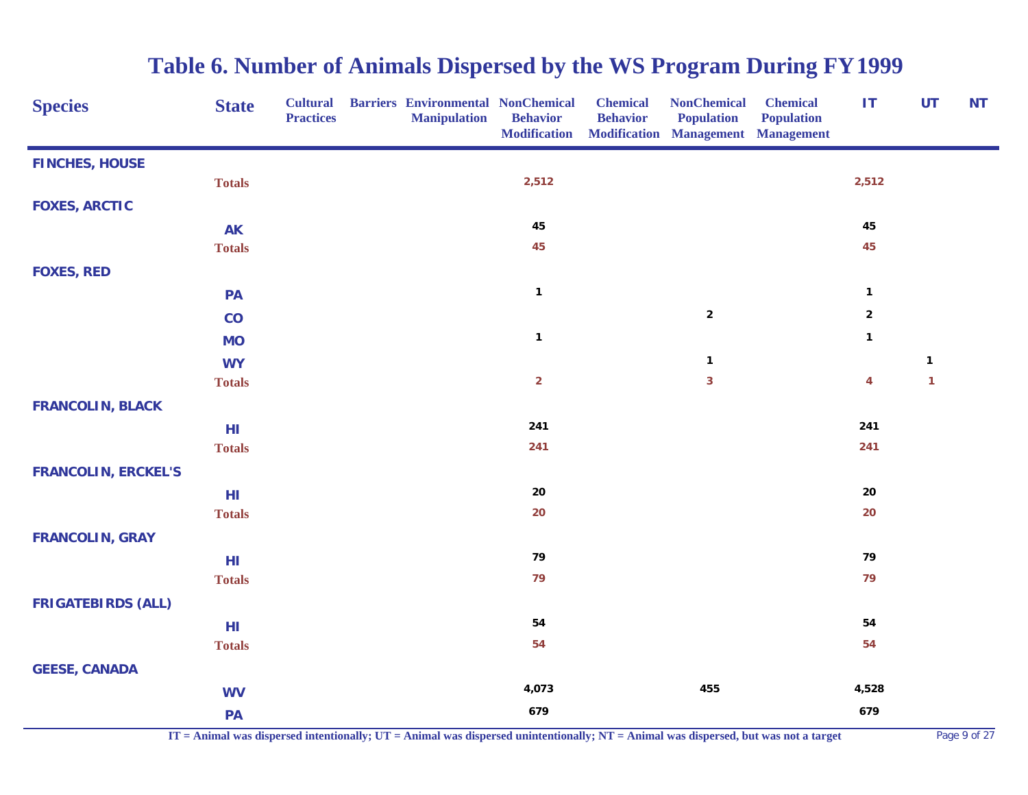| <b>Species</b>             | <b>State</b>  | <b>Practices</b> | <b>Cultural Barriers Environmental NonChemical</b><br><b>Manipulation</b> | <b>Behavior</b><br><b>Modification</b> | <b>Chemical</b><br><b>Behavior</b> | <b>NonChemical</b><br><b>Population</b><br>Modification Management Management | <b>Chemical</b><br><b>Population</b> | IT                      | <b>UT</b>               | <b>NT</b> |
|----------------------------|---------------|------------------|---------------------------------------------------------------------------|----------------------------------------|------------------------------------|-------------------------------------------------------------------------------|--------------------------------------|-------------------------|-------------------------|-----------|
| <b>FINCHES, HOUSE</b>      |               |                  |                                                                           |                                        |                                    |                                                                               |                                      |                         |                         |           |
|                            | <b>Totals</b> |                  |                                                                           | 2,512                                  |                                    |                                                                               |                                      | 2,512                   |                         |           |
| <b>FOXES, ARCTIC</b>       |               |                  |                                                                           |                                        |                                    |                                                                               |                                      |                         |                         |           |
|                            | <b>AK</b>     |                  |                                                                           | 45                                     |                                    |                                                                               |                                      | 45                      |                         |           |
|                            | <b>Totals</b> |                  |                                                                           | 45                                     |                                    |                                                                               |                                      | 45                      |                         |           |
| <b>FOXES, RED</b>          |               |                  |                                                                           |                                        |                                    |                                                                               |                                      |                         |                         |           |
|                            | <b>PA</b>     |                  |                                                                           | $\mathbf{1}$                           |                                    |                                                                               |                                      | $\mathbf{1}$            |                         |           |
|                            | CO            |                  |                                                                           |                                        |                                    | $\mathbf 2$                                                                   |                                      | $\overline{2}$          |                         |           |
|                            | <b>MO</b>     |                  |                                                                           | $\mathbf{1}$                           |                                    |                                                                               |                                      | $\mathbf{1}$            |                         |           |
|                            | <b>WY</b>     |                  |                                                                           |                                        |                                    | $\mathbf{1}$                                                                  |                                      |                         | $\mathbf{1}$            |           |
|                            | <b>Totals</b> |                  |                                                                           | $\overline{2}$                         |                                    | 3                                                                             |                                      | $\overline{\mathbf{4}}$ | $\overline{\mathbf{1}}$ |           |
| <b>FRANCOLIN, BLACK</b>    |               |                  |                                                                           |                                        |                                    |                                                                               |                                      |                         |                         |           |
|                            | HI            |                  |                                                                           | 241                                    |                                    |                                                                               |                                      | 241                     |                         |           |
|                            | <b>Totals</b> |                  |                                                                           | 241                                    |                                    |                                                                               |                                      | 241                     |                         |           |
| <b>FRANCOLIN, ERCKEL'S</b> |               |                  |                                                                           |                                        |                                    |                                                                               |                                      |                         |                         |           |
|                            | HI            |                  |                                                                           | 20                                     |                                    |                                                                               |                                      | 20                      |                         |           |
|                            | <b>Totals</b> |                  |                                                                           | 20                                     |                                    |                                                                               |                                      | 20                      |                         |           |
| <b>FRANCOLIN, GRAY</b>     |               |                  |                                                                           |                                        |                                    |                                                                               |                                      |                         |                         |           |
|                            | HI            |                  |                                                                           | 79                                     |                                    |                                                                               |                                      | 79                      |                         |           |
|                            | <b>Totals</b> |                  |                                                                           | 79                                     |                                    |                                                                               |                                      | 79                      |                         |           |
| <b>FRIGATEBIRDS (ALL)</b>  |               |                  |                                                                           |                                        |                                    |                                                                               |                                      |                         |                         |           |
|                            | HI            |                  |                                                                           | 54                                     |                                    |                                                                               |                                      | 54                      |                         |           |
|                            | <b>Totals</b> |                  |                                                                           | 54                                     |                                    |                                                                               |                                      | 54                      |                         |           |
| <b>GEESE, CANADA</b>       |               |                  |                                                                           |                                        |                                    |                                                                               |                                      |                         |                         |           |
|                            | <b>WV</b>     |                  |                                                                           | 4,073                                  |                                    | 455                                                                           |                                      | 4,528                   |                         |           |
|                            | PA            |                  |                                                                           | 679                                    |                                    |                                                                               |                                      | 679                     |                         |           |

**IT = Animal was dispersed intentionally; UT = Animal was dispersed unintentionally; NT = Animal was dispersed, but was not a target** Page 9 of 27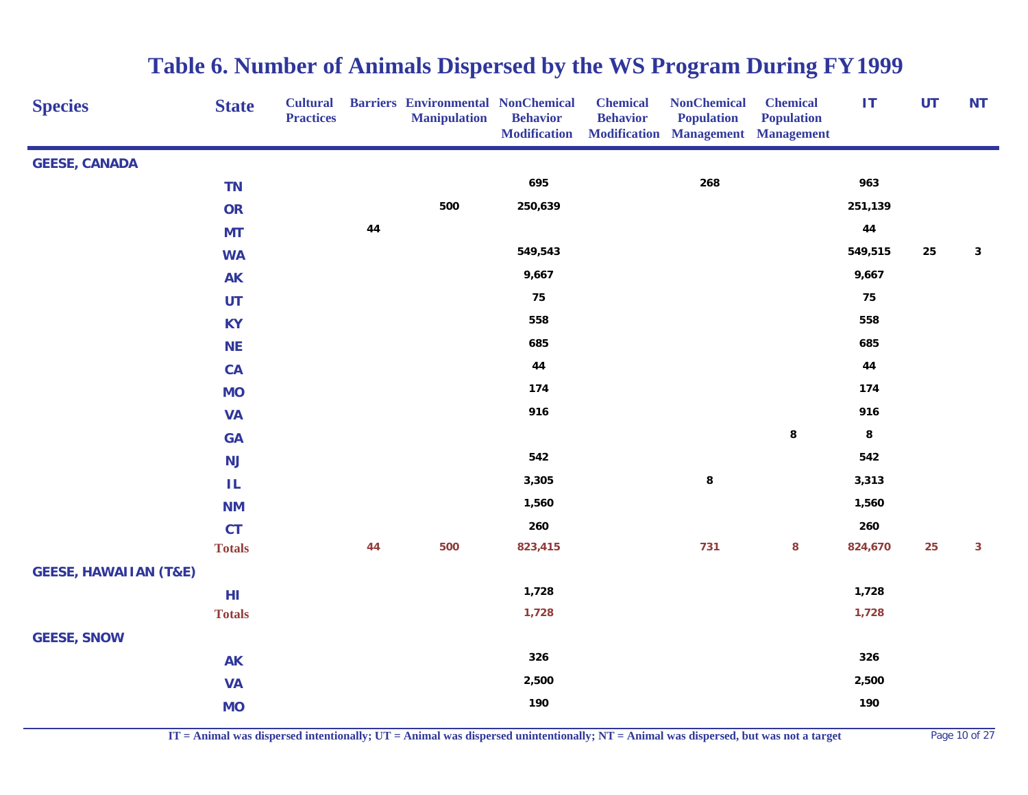| <b>Species</b>                   | <b>State</b>  | <b>Cultural</b><br><b>Practices</b> |    | <b>Barriers Environmental NonChemical</b><br><b>Manipulation</b> | <b>Behavior</b><br><b>Modification</b> | <b>Chemical</b><br><b>Behavior</b> | <b>NonChemical</b><br><b>Population</b><br><b>Modification Management Management</b> | <b>Chemical</b><br><b>Population</b> | IT      | <b>UT</b> | <b>NT</b>    |
|----------------------------------|---------------|-------------------------------------|----|------------------------------------------------------------------|----------------------------------------|------------------------------------|--------------------------------------------------------------------------------------|--------------------------------------|---------|-----------|--------------|
| <b>GEESE, CANADA</b>             |               |                                     |    |                                                                  |                                        |                                    |                                                                                      |                                      |         |           |              |
|                                  | <b>TN</b>     |                                     |    |                                                                  | 695                                    |                                    | 268                                                                                  |                                      | 963     |           |              |
|                                  | OR            |                                     |    | 500                                                              | 250,639                                |                                    |                                                                                      |                                      | 251,139 |           |              |
|                                  | <b>MT</b>     |                                     | 44 |                                                                  |                                        |                                    |                                                                                      |                                      | 44      |           |              |
|                                  | <b>WA</b>     |                                     |    |                                                                  | 549,543                                |                                    |                                                                                      |                                      | 549,515 | 25        | $\mathbf{3}$ |
|                                  | <b>AK</b>     |                                     |    |                                                                  | 9,667                                  |                                    |                                                                                      |                                      | 9,667   |           |              |
|                                  | UT            |                                     |    |                                                                  | 75                                     |                                    |                                                                                      |                                      | 75      |           |              |
|                                  | <b>KY</b>     |                                     |    |                                                                  | 558                                    |                                    |                                                                                      |                                      | 558     |           |              |
|                                  | <b>NE</b>     |                                     |    |                                                                  | 685                                    |                                    |                                                                                      |                                      | 685     |           |              |
|                                  | CA            |                                     |    |                                                                  | 44                                     |                                    |                                                                                      |                                      | 44      |           |              |
|                                  | <b>MO</b>     |                                     |    |                                                                  | 174                                    |                                    |                                                                                      |                                      | 174     |           |              |
|                                  | <b>VA</b>     |                                     |    |                                                                  | 916                                    |                                    |                                                                                      |                                      | 916     |           |              |
|                                  | <b>GA</b>     |                                     |    |                                                                  |                                        |                                    |                                                                                      | 8                                    | $\bf 8$ |           |              |
|                                  | NJ            |                                     |    |                                                                  | 542                                    |                                    |                                                                                      |                                      | 542     |           |              |
|                                  | ΙL            |                                     |    |                                                                  | 3,305                                  |                                    | 8                                                                                    |                                      | 3,313   |           |              |
|                                  | <b>NM</b>     |                                     |    |                                                                  | 1,560                                  |                                    |                                                                                      |                                      | 1,560   |           |              |
|                                  | <b>CT</b>     |                                     |    |                                                                  | 260                                    |                                    |                                                                                      |                                      | 260     |           |              |
|                                  | <b>Totals</b> |                                     | 44 | 500                                                              | 823,415                                |                                    | 731                                                                                  | 8                                    | 824,670 | 25        | 3            |
| <b>GEESE, HAWAIIAN (T&amp;E)</b> |               |                                     |    |                                                                  |                                        |                                    |                                                                                      |                                      |         |           |              |
|                                  | HI            |                                     |    |                                                                  | 1,728                                  |                                    |                                                                                      |                                      | 1,728   |           |              |
|                                  | <b>Totals</b> |                                     |    |                                                                  | 1,728                                  |                                    |                                                                                      |                                      | 1,728   |           |              |
| <b>GEESE, SNOW</b>               |               |                                     |    |                                                                  |                                        |                                    |                                                                                      |                                      |         |           |              |
|                                  | <b>AK</b>     |                                     |    |                                                                  | 326                                    |                                    |                                                                                      |                                      | 326     |           |              |
|                                  | <b>VA</b>     |                                     |    |                                                                  | 2,500                                  |                                    |                                                                                      |                                      | 2,500   |           |              |
|                                  | <b>MO</b>     |                                     |    |                                                                  | 190                                    |                                    |                                                                                      |                                      | 190     |           |              |

**IT = Animal was dispersed intentionally; UT = Animal was dispersed unintentionally; NT = Animal was dispersed, but was not a target** Page 10 of 27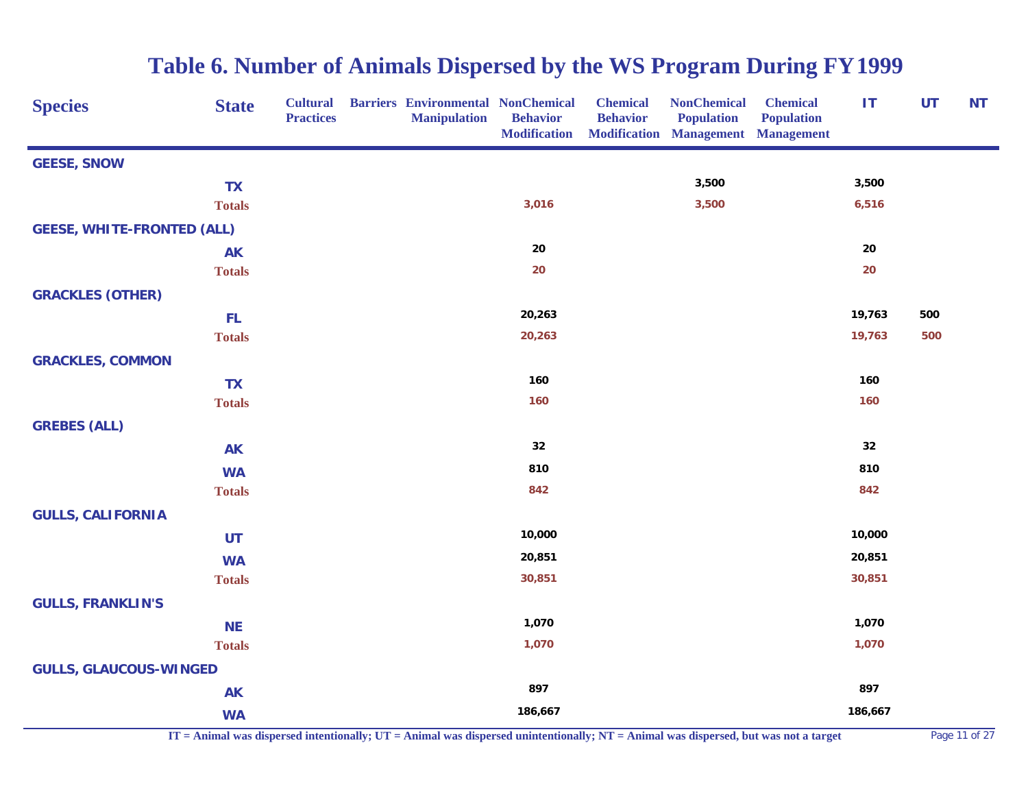| <b>Species</b>                    | <b>State</b>  | <b>Cultural</b><br><b>Practices</b> | <b>Barriers Environmental NonChemical</b><br><b>Manipulation</b> | <b>Behavior</b><br><b>Modification</b> | <b>Chemical</b><br><b>Behavior</b> | <b>NonChemical</b><br><b>Population</b><br><b>Modification Management Management</b> | <b>Chemical</b><br><b>Population</b> | IT         | <b>UT</b> | <b>NT</b> |
|-----------------------------------|---------------|-------------------------------------|------------------------------------------------------------------|----------------------------------------|------------------------------------|--------------------------------------------------------------------------------------|--------------------------------------|------------|-----------|-----------|
| <b>GEESE, SNOW</b>                |               |                                     |                                                                  |                                        |                                    |                                                                                      |                                      |            |           |           |
|                                   | <b>TX</b>     |                                     |                                                                  |                                        |                                    | 3,500                                                                                |                                      | 3,500      |           |           |
|                                   | <b>Totals</b> |                                     |                                                                  | 3,016                                  |                                    | 3,500                                                                                |                                      | 6,516      |           |           |
| <b>GEESE, WHITE-FRONTED (ALL)</b> |               |                                     |                                                                  |                                        |                                    |                                                                                      |                                      |            |           |           |
|                                   | <b>AK</b>     |                                     |                                                                  | ${\bf 20}$                             |                                    |                                                                                      |                                      | ${\bf 20}$ |           |           |
|                                   | <b>Totals</b> |                                     |                                                                  | 20                                     |                                    |                                                                                      |                                      | 20         |           |           |
| <b>GRACKLES (OTHER)</b>           |               |                                     |                                                                  |                                        |                                    |                                                                                      |                                      |            |           |           |
|                                   | <b>FL</b>     |                                     |                                                                  | 20,263                                 |                                    |                                                                                      |                                      | 19,763     | 500       |           |
|                                   | <b>Totals</b> |                                     |                                                                  | 20,263                                 |                                    |                                                                                      |                                      | 19,763     | 500       |           |
| <b>GRACKLES, COMMON</b>           |               |                                     |                                                                  |                                        |                                    |                                                                                      |                                      |            |           |           |
|                                   | <b>TX</b>     |                                     |                                                                  | 160                                    |                                    |                                                                                      |                                      | 160        |           |           |
|                                   | <b>Totals</b> |                                     |                                                                  | 160                                    |                                    |                                                                                      |                                      | 160        |           |           |
| <b>GREBES (ALL)</b>               |               |                                     |                                                                  |                                        |                                    |                                                                                      |                                      |            |           |           |
|                                   | <b>AK</b>     |                                     |                                                                  | 32                                     |                                    |                                                                                      |                                      | 32         |           |           |
|                                   | <b>WA</b>     |                                     |                                                                  | 810                                    |                                    |                                                                                      |                                      | 810        |           |           |
|                                   | <b>Totals</b> |                                     |                                                                  | 842                                    |                                    |                                                                                      |                                      | 842        |           |           |
| <b>GULLS, CALIFORNIA</b>          |               |                                     |                                                                  |                                        |                                    |                                                                                      |                                      |            |           |           |
|                                   | <b>UT</b>     |                                     |                                                                  | 10,000                                 |                                    |                                                                                      |                                      | 10,000     |           |           |
|                                   | <b>WA</b>     |                                     |                                                                  | 20,851                                 |                                    |                                                                                      |                                      | 20,851     |           |           |
|                                   | <b>Totals</b> |                                     |                                                                  | 30,851                                 |                                    |                                                                                      |                                      | 30,851     |           |           |
| <b>GULLS, FRANKLIN'S</b>          |               |                                     |                                                                  |                                        |                                    |                                                                                      |                                      |            |           |           |
|                                   | <b>NE</b>     |                                     |                                                                  | 1,070                                  |                                    |                                                                                      |                                      | 1,070      |           |           |
|                                   | <b>Totals</b> |                                     |                                                                  | 1,070                                  |                                    |                                                                                      |                                      | 1,070      |           |           |
| <b>GULLS, GLAUCOUS-WINGED</b>     |               |                                     |                                                                  |                                        |                                    |                                                                                      |                                      |            |           |           |
|                                   | <b>AK</b>     |                                     |                                                                  | 897                                    |                                    |                                                                                      |                                      | 897        |           |           |
|                                   | <b>WA</b>     |                                     |                                                                  | 186,667                                |                                    |                                                                                      |                                      | 186,667    |           |           |

**IT = Animal was dispersed intentionally; UT = Animal was dispersed unintentionally; NT = Animal was dispersed, but was not a target** Page 11 of 27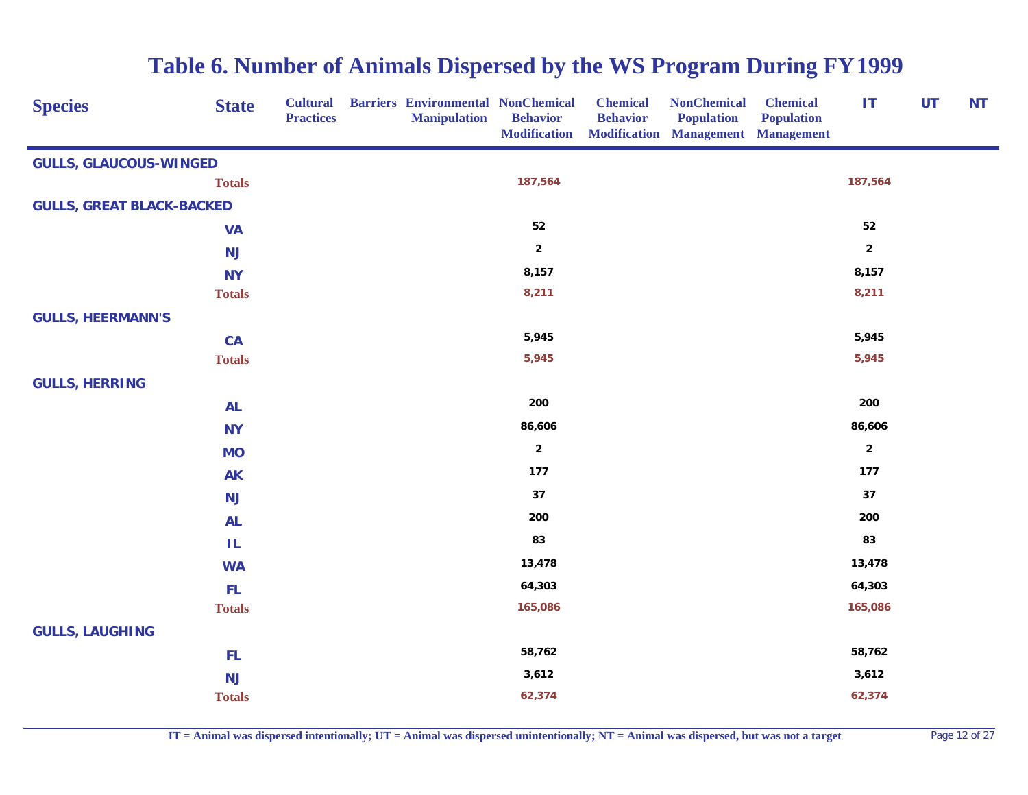| <b>Species</b>                   | <b>State</b>  | <b>Cultural</b><br><b>Practices</b> | <b>Barriers Environmental NonChemical</b><br><b>Manipulation</b> | <b>Behavior</b><br><b>Modification</b> | <b>Chemical</b><br><b>Behavior</b> | <b>NonChemical</b><br><b>Population</b><br>Modification Management Management | <b>Chemical</b><br><b>Population</b> | IT                      | <b>UT</b> | <b>NT</b> |
|----------------------------------|---------------|-------------------------------------|------------------------------------------------------------------|----------------------------------------|------------------------------------|-------------------------------------------------------------------------------|--------------------------------------|-------------------------|-----------|-----------|
| <b>GULLS, GLAUCOUS-WINGED</b>    |               |                                     |                                                                  |                                        |                                    |                                                                               |                                      |                         |           |           |
|                                  | <b>Totals</b> |                                     |                                                                  | 187,564                                |                                    |                                                                               |                                      | 187,564                 |           |           |
| <b>GULLS, GREAT BLACK-BACKED</b> |               |                                     |                                                                  |                                        |                                    |                                                                               |                                      |                         |           |           |
|                                  | <b>VA</b>     |                                     |                                                                  | ${\bf 52}$                             |                                    |                                                                               |                                      | ${\bf 52}$              |           |           |
|                                  | <b>NJ</b>     |                                     |                                                                  | $\mathbf 2$                            |                                    |                                                                               |                                      | $\overline{\mathbf{2}}$ |           |           |
|                                  | <b>NY</b>     |                                     |                                                                  | 8,157                                  |                                    |                                                                               |                                      | 8,157                   |           |           |
|                                  | <b>Totals</b> |                                     |                                                                  | 8,211                                  |                                    |                                                                               |                                      | 8,211                   |           |           |
| <b>GULLS, HEERMANN'S</b>         |               |                                     |                                                                  |                                        |                                    |                                                                               |                                      |                         |           |           |
|                                  | CA            |                                     |                                                                  | 5,945                                  |                                    |                                                                               |                                      | 5,945                   |           |           |
|                                  | <b>Totals</b> |                                     |                                                                  | 5,945                                  |                                    |                                                                               |                                      | 5,945                   |           |           |
| <b>GULLS, HERRING</b>            |               |                                     |                                                                  |                                        |                                    |                                                                               |                                      |                         |           |           |
|                                  | <b>AL</b>     |                                     |                                                                  | 200                                    |                                    |                                                                               |                                      | 200                     |           |           |
|                                  | <b>NY</b>     |                                     |                                                                  | 86,606                                 |                                    |                                                                               |                                      | 86,606                  |           |           |
|                                  | <b>MO</b>     |                                     |                                                                  | $\mathbf 2$                            |                                    |                                                                               |                                      | $\overline{2}$          |           |           |
|                                  | <b>AK</b>     |                                     |                                                                  | 177                                    |                                    |                                                                               |                                      | 177                     |           |           |
|                                  | <b>NJ</b>     |                                     |                                                                  | 37                                     |                                    |                                                                               |                                      | 37                      |           |           |
|                                  | <b>AL</b>     |                                     |                                                                  | 200                                    |                                    |                                                                               |                                      | 200                     |           |           |
|                                  | ΙL            |                                     |                                                                  | 83                                     |                                    |                                                                               |                                      | 83                      |           |           |
|                                  | <b>WA</b>     |                                     |                                                                  | 13,478                                 |                                    |                                                                               |                                      | 13,478                  |           |           |
|                                  | <b>FL</b>     |                                     |                                                                  | 64,303                                 |                                    |                                                                               |                                      | 64,303                  |           |           |
|                                  | <b>Totals</b> |                                     |                                                                  | 165,086                                |                                    |                                                                               |                                      | 165,086                 |           |           |
| <b>GULLS, LAUGHING</b>           |               |                                     |                                                                  |                                        |                                    |                                                                               |                                      |                         |           |           |
|                                  | FL            |                                     |                                                                  | 58,762                                 |                                    |                                                                               |                                      | 58,762                  |           |           |
|                                  | <b>NJ</b>     |                                     |                                                                  | 3,612                                  |                                    |                                                                               |                                      | 3,612                   |           |           |
|                                  | <b>Totals</b> |                                     |                                                                  | 62,374                                 |                                    |                                                                               |                                      | 62,374                  |           |           |

**IT = Animal was dispersed intentionally; UT = Animal was dispersed unintentionally; NT = Animal was dispersed, but was not a target** Page 12 of 27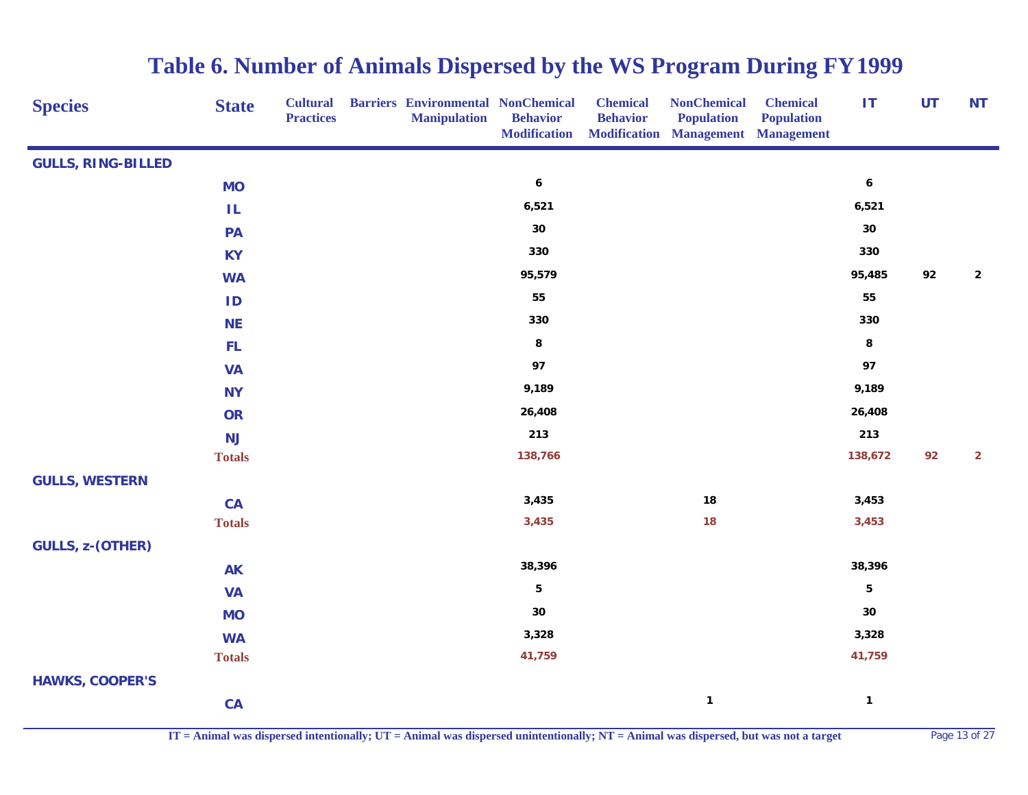| <b>Species</b>            | <b>State</b>  | <b>Cultural</b><br><b>Practices</b> | <b>Barriers Environmental NonChemical</b><br><b>Manipulation</b> | <b>Behavior</b><br><b>Modification</b> | <b>Chemical</b><br><b>Behavior</b> | <b>NonChemical</b><br><b>Population</b><br><b>Modification Management Management</b> | <b>Chemical</b><br><b>Population</b> | IT                      | <b>UT</b> | <b>NT</b>      |
|---------------------------|---------------|-------------------------------------|------------------------------------------------------------------|----------------------------------------|------------------------------------|--------------------------------------------------------------------------------------|--------------------------------------|-------------------------|-----------|----------------|
| <b>GULLS, RING-BILLED</b> |               |                                     |                                                                  |                                        |                                    |                                                                                      |                                      |                         |           |                |
|                           | <b>MO</b>     |                                     |                                                                  | $\boldsymbol{6}$                       |                                    |                                                                                      |                                      | $\boldsymbol{6}$        |           |                |
|                           | IL            |                                     |                                                                  | 6,521                                  |                                    |                                                                                      |                                      | 6,521                   |           |                |
|                           | PA            |                                     |                                                                  | $30\,$                                 |                                    |                                                                                      |                                      | $30\,$                  |           |                |
|                           | <b>KY</b>     |                                     |                                                                  | 330                                    |                                    |                                                                                      |                                      | 330                     |           |                |
|                           | <b>WA</b>     |                                     |                                                                  | 95,579                                 |                                    |                                                                                      |                                      | 95,485                  | 92        | $\mathbf{2}$   |
|                           | ID            |                                     |                                                                  | 55                                     |                                    |                                                                                      |                                      | 55                      |           |                |
|                           | <b>NE</b>     |                                     |                                                                  | 330                                    |                                    |                                                                                      |                                      | 330                     |           |                |
|                           | FL            |                                     |                                                                  | 8                                      |                                    |                                                                                      |                                      | 8                       |           |                |
|                           | <b>VA</b>     |                                     |                                                                  | 97                                     |                                    |                                                                                      |                                      | 97                      |           |                |
|                           | <b>NY</b>     |                                     |                                                                  | 9,189                                  |                                    |                                                                                      |                                      | 9,189                   |           |                |
|                           | <b>OR</b>     |                                     |                                                                  | 26,408                                 |                                    |                                                                                      |                                      | 26,408                  |           |                |
|                           | <b>NJ</b>     |                                     |                                                                  | 213                                    |                                    |                                                                                      |                                      | 213                     |           |                |
|                           | <b>Totals</b> |                                     |                                                                  | 138,766                                |                                    |                                                                                      |                                      | 138,672                 | 92        | $\overline{2}$ |
| <b>GULLS, WESTERN</b>     |               |                                     |                                                                  |                                        |                                    |                                                                                      |                                      |                         |           |                |
|                           | CA            |                                     |                                                                  | 3,435                                  |                                    | 18                                                                                   |                                      | 3,453                   |           |                |
|                           | <b>Totals</b> |                                     |                                                                  | 3,435                                  |                                    | 18                                                                                   |                                      | 3,453                   |           |                |
| <b>GULLS, z-(OTHER)</b>   |               |                                     |                                                                  |                                        |                                    |                                                                                      |                                      |                         |           |                |
|                           | <b>AK</b>     |                                     |                                                                  | 38,396                                 |                                    |                                                                                      |                                      | 38,396                  |           |                |
|                           | <b>VA</b>     |                                     |                                                                  | $\overline{\mathbf{5}}$                |                                    |                                                                                      |                                      | $\overline{\mathbf{5}}$ |           |                |
|                           | <b>MO</b>     |                                     |                                                                  | 30                                     |                                    |                                                                                      |                                      | $30\,$                  |           |                |
|                           | <b>WA</b>     |                                     |                                                                  | 3,328                                  |                                    |                                                                                      |                                      | 3,328                   |           |                |
|                           | <b>Totals</b> |                                     |                                                                  | 41,759                                 |                                    |                                                                                      |                                      | 41,759                  |           |                |
| <b>HAWKS, COOPER'S</b>    |               |                                     |                                                                  |                                        |                                    |                                                                                      |                                      |                         |           |                |
|                           | CA            |                                     |                                                                  |                                        |                                    | $\mathbf{1}$                                                                         |                                      | $\mathbf{1}$            |           |                |

**IT = Animal was dispersed intentionally; UT = Animal was dispersed unintentionally; NT = Animal was dispersed, but was not a target** Page 13 of 27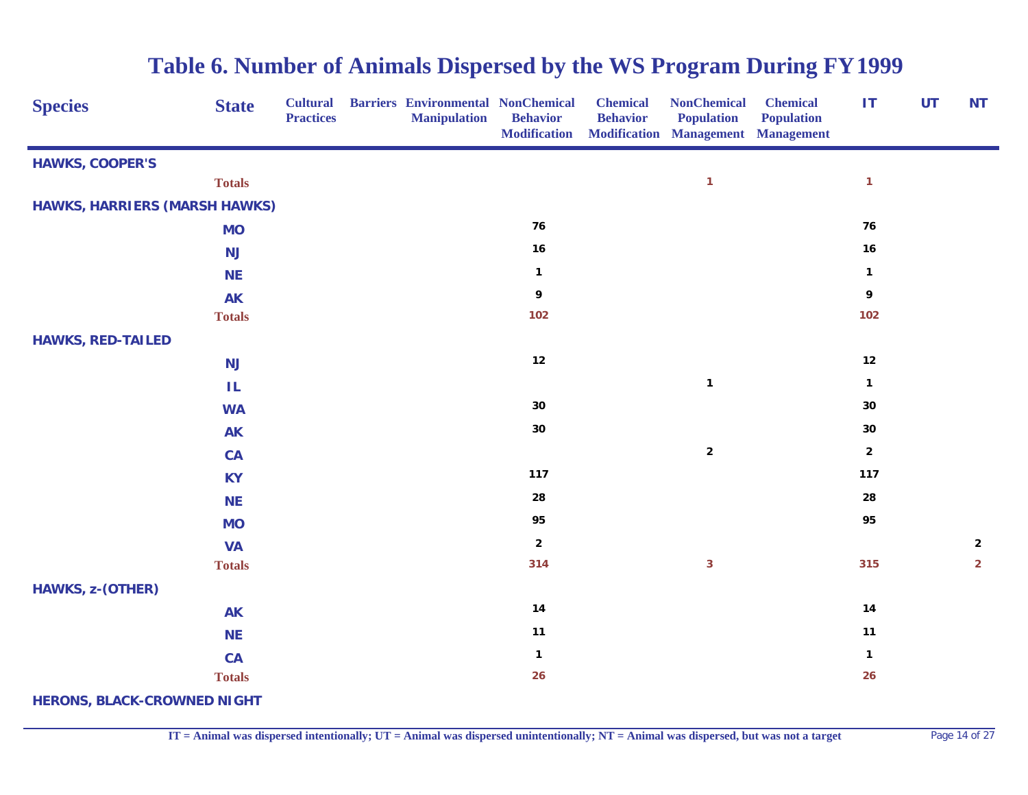| <b>Species</b>                       | <b>State</b>  | <b>Cultural</b><br><b>Practices</b> | <b>Barriers Environmental NonChemical</b><br><b>Manipulation</b> | <b>Behavior</b><br><b>Modification</b> | <b>Chemical</b><br><b>Behavior</b> | <b>NonChemical</b><br><b>Population</b><br><b>Modification Management Management</b> | <b>Chemical</b><br><b>Population</b> | <b>IT</b>    | <b>UT</b> | <b>NT</b>      |
|--------------------------------------|---------------|-------------------------------------|------------------------------------------------------------------|----------------------------------------|------------------------------------|--------------------------------------------------------------------------------------|--------------------------------------|--------------|-----------|----------------|
| <b>HAWKS, COOPER'S</b>               |               |                                     |                                                                  |                                        |                                    |                                                                                      |                                      |              |           |                |
|                                      | <b>Totals</b> |                                     |                                                                  |                                        |                                    | $\mathbf{1}$                                                                         |                                      | $\mathbf{1}$ |           |                |
| <b>HAWKS, HARRIERS (MARSH HAWKS)</b> |               |                                     |                                                                  |                                        |                                    |                                                                                      |                                      |              |           |                |
|                                      | <b>MO</b>     |                                     |                                                                  | 76                                     |                                    |                                                                                      |                                      | 76           |           |                |
|                                      | <b>NJ</b>     |                                     |                                                                  | 16                                     |                                    |                                                                                      |                                      | 16           |           |                |
|                                      | <b>NE</b>     |                                     |                                                                  | $\mathbf 1$                            |                                    |                                                                                      |                                      | $\mathbf{1}$ |           |                |
|                                      | <b>AK</b>     |                                     |                                                                  | 9                                      |                                    |                                                                                      |                                      | 9            |           |                |
|                                      | <b>Totals</b> |                                     |                                                                  | 102                                    |                                    |                                                                                      |                                      | 102          |           |                |
| <b>HAWKS, RED-TAILED</b>             |               |                                     |                                                                  |                                        |                                    |                                                                                      |                                      |              |           |                |
|                                      | <b>NJ</b>     |                                     |                                                                  | $12$                                   |                                    |                                                                                      |                                      | $12$         |           |                |
|                                      | IL.           |                                     |                                                                  |                                        |                                    | $\mathbf{1}$                                                                         |                                      | $\mathbf{1}$ |           |                |
|                                      | <b>WA</b>     |                                     |                                                                  | $30\,$                                 |                                    |                                                                                      |                                      | 30           |           |                |
|                                      | <b>AK</b>     |                                     |                                                                  | $30\,$                                 |                                    |                                                                                      |                                      | 30           |           |                |
|                                      | CA            |                                     |                                                                  |                                        |                                    | $\mathbf 2$                                                                          |                                      | $\mathbf{2}$ |           |                |
|                                      | <b>KY</b>     |                                     |                                                                  | 117                                    |                                    |                                                                                      |                                      | 117          |           |                |
|                                      | <b>NE</b>     |                                     |                                                                  | 28                                     |                                    |                                                                                      |                                      | 28           |           |                |
|                                      | <b>MO</b>     |                                     |                                                                  | 95                                     |                                    |                                                                                      |                                      | 95           |           |                |
|                                      | <b>VA</b>     |                                     |                                                                  | $\overline{\mathbf{2}}$                |                                    |                                                                                      |                                      |              |           | $\mathbf{2}$   |
|                                      | <b>Totals</b> |                                     |                                                                  | 314                                    |                                    | $\mathbf{3}$                                                                         |                                      | 315          |           | $\overline{2}$ |
| <b>HAWKS, z-(OTHER)</b>              |               |                                     |                                                                  |                                        |                                    |                                                                                      |                                      |              |           |                |
|                                      | <b>AK</b>     |                                     |                                                                  | 14                                     |                                    |                                                                                      |                                      | 14           |           |                |
|                                      | <b>NE</b>     |                                     |                                                                  | 11                                     |                                    |                                                                                      |                                      | $11$         |           |                |
|                                      | CA            |                                     |                                                                  | $\mathbf{1}$                           |                                    |                                                                                      |                                      | $\mathbf{1}$ |           |                |
|                                      | <b>Totals</b> |                                     |                                                                  | 26                                     |                                    |                                                                                      |                                      | 26           |           |                |
| <b>HERONS, BLACK-CROWNED NIGHT</b>   |               |                                     |                                                                  |                                        |                                    |                                                                                      |                                      |              |           |                |

**IT = Animal was dispersed intentionally; UT = Animal was dispersed unintentionally; NT = Animal was dispersed, but was not a target** Page 14 of 27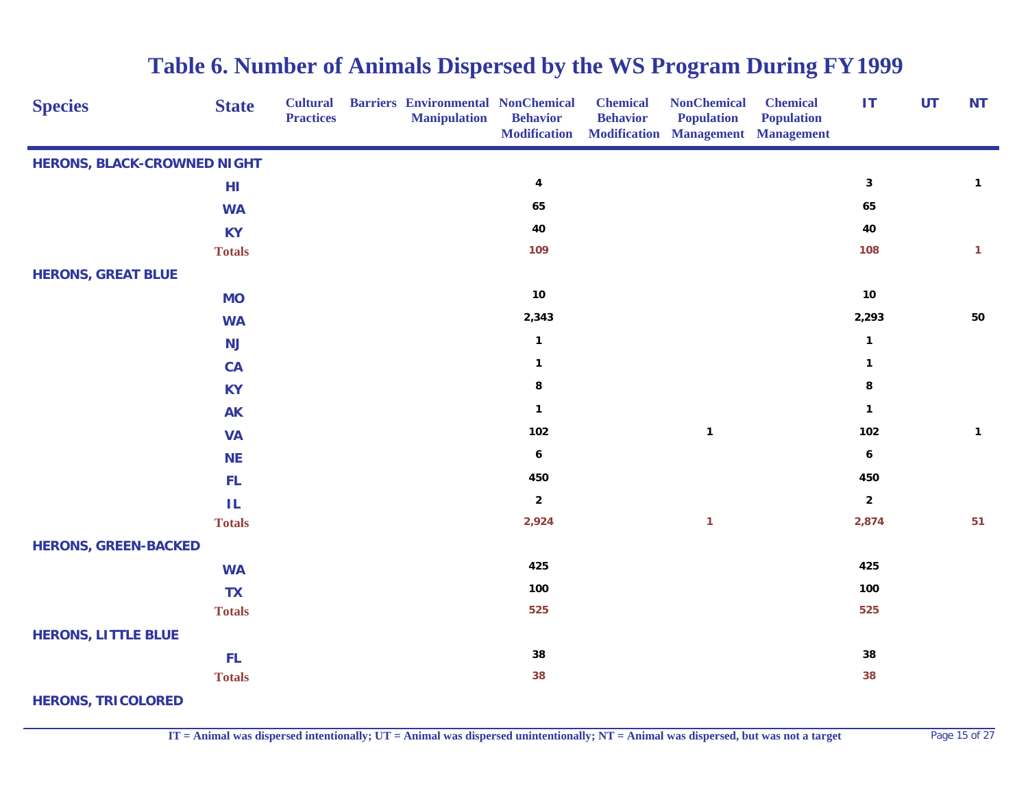| <b>Species</b>                     | <b>State</b>  | <b>Cultural</b><br><b>Practices</b> | <b>Barriers Environmental NonChemical</b><br><b>Manipulation</b> | <b>Behavior</b><br><b>Modification</b> | <b>Chemical</b><br><b>Behavior</b> | <b>NonChemical</b><br><b>Population</b><br><b>Modification Management Management</b> | <b>Chemical</b><br><b>Population</b> | $\mathbf{I}$            | <b>UT</b> | <b>NT</b>    |
|------------------------------------|---------------|-------------------------------------|------------------------------------------------------------------|----------------------------------------|------------------------------------|--------------------------------------------------------------------------------------|--------------------------------------|-------------------------|-----------|--------------|
| <b>HERONS, BLACK-CROWNED NIGHT</b> |               |                                     |                                                                  |                                        |                                    |                                                                                      |                                      |                         |           |              |
|                                    | HI            |                                     |                                                                  | $\pmb{4}$                              |                                    |                                                                                      |                                      | $\mathbf 3$             |           | $\mathbf{1}$ |
|                                    | <b>WA</b>     |                                     |                                                                  | 65                                     |                                    |                                                                                      |                                      | 65                      |           |              |
|                                    | <b>KY</b>     |                                     |                                                                  | 40                                     |                                    |                                                                                      |                                      | 40                      |           |              |
|                                    | <b>Totals</b> |                                     |                                                                  | 109                                    |                                    |                                                                                      |                                      | 108                     |           | $\mathbf{1}$ |
| <b>HERONS, GREAT BLUE</b>          |               |                                     |                                                                  |                                        |                                    |                                                                                      |                                      |                         |           |              |
|                                    | <b>MO</b>     |                                     |                                                                  | $10$                                   |                                    |                                                                                      |                                      | 10                      |           |              |
|                                    | <b>WA</b>     |                                     |                                                                  | 2,343                                  |                                    |                                                                                      |                                      | 2,293                   |           | 50           |
|                                    | <b>NJ</b>     |                                     |                                                                  | $\mathbf{1}$                           |                                    |                                                                                      |                                      | $\mathbf{1}$            |           |              |
|                                    | CA            |                                     |                                                                  | $\mathbf{1}$                           |                                    |                                                                                      |                                      | $\mathbf{1}$            |           |              |
|                                    | <b>KY</b>     |                                     |                                                                  | 8                                      |                                    |                                                                                      |                                      | 8                       |           |              |
|                                    | <b>AK</b>     |                                     |                                                                  | $\mathbf{1}$                           |                                    |                                                                                      |                                      | $\mathbf{1}$            |           |              |
|                                    | <b>VA</b>     |                                     |                                                                  | 102                                    |                                    | $\mathbf{1}$                                                                         |                                      | 102                     |           | $\mathbf{1}$ |
|                                    | <b>NE</b>     |                                     |                                                                  | $\boldsymbol{6}$                       |                                    |                                                                                      |                                      | $\boldsymbol{6}$        |           |              |
|                                    | FL.           |                                     |                                                                  | 450                                    |                                    |                                                                                      |                                      | 450                     |           |              |
|                                    | ΙL            |                                     |                                                                  | $\boldsymbol{2}$                       |                                    |                                                                                      |                                      | $\overline{\mathbf{2}}$ |           |              |
|                                    | <b>Totals</b> |                                     |                                                                  | 2,924                                  |                                    | 1                                                                                    |                                      | 2,874                   |           | 51           |
| <b>HERONS, GREEN-BACKED</b>        |               |                                     |                                                                  |                                        |                                    |                                                                                      |                                      |                         |           |              |
|                                    | <b>WA</b>     |                                     |                                                                  | 425                                    |                                    |                                                                                      |                                      | 425                     |           |              |
|                                    | <b>TX</b>     |                                     |                                                                  | 100                                    |                                    |                                                                                      |                                      | 100                     |           |              |
|                                    | <b>Totals</b> |                                     |                                                                  | 525                                    |                                    |                                                                                      |                                      | 525                     |           |              |
| <b>HERONS, LITTLE BLUE</b>         |               |                                     |                                                                  |                                        |                                    |                                                                                      |                                      |                         |           |              |
|                                    | FL.           |                                     |                                                                  | 38                                     |                                    |                                                                                      |                                      | 38                      |           |              |
|                                    | <b>Totals</b> |                                     |                                                                  | 38                                     |                                    |                                                                                      |                                      | 38                      |           |              |
| <b>HERONS, TRICOLORED</b>          |               |                                     |                                                                  |                                        |                                    |                                                                                      |                                      |                         |           |              |

**IT = Animal was dispersed intentionally; UT = Animal was dispersed unintentionally; NT = Animal was dispersed, but was not a target** Page 15 of 27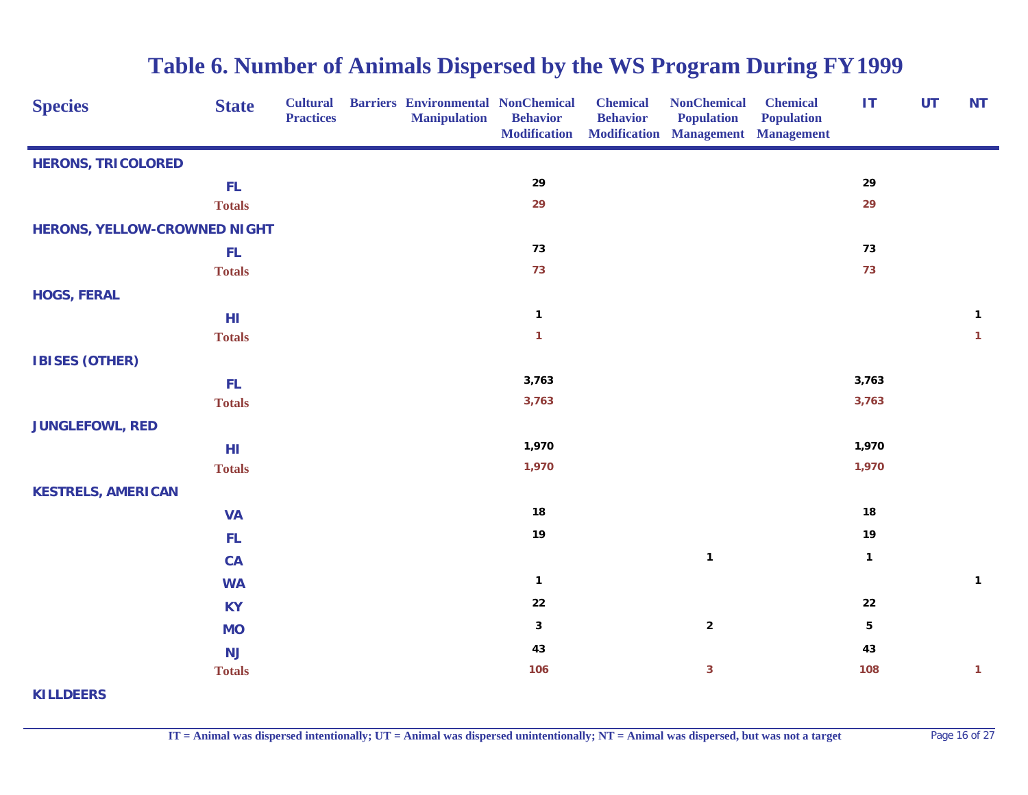| <b>Species</b>                      | <b>State</b>  | <b>Cultural</b><br><b>Practices</b> | <b>Barriers Environmental NonChemical</b><br><b>Manipulation</b> | <b>Behavior</b><br><b>Modification</b> | <b>Chemical</b><br><b>Behavior</b> | <b>NonChemical</b><br><b>Population</b><br><b>Modification Management Management</b> | <b>Chemical</b><br><b>Population</b> | IT           | <b>UT</b> | <b>NT</b>    |
|-------------------------------------|---------------|-------------------------------------|------------------------------------------------------------------|----------------------------------------|------------------------------------|--------------------------------------------------------------------------------------|--------------------------------------|--------------|-----------|--------------|
| <b>HERONS, TRICOLORED</b>           |               |                                     |                                                                  |                                        |                                    |                                                                                      |                                      |              |           |              |
|                                     | FL.           |                                     |                                                                  | 29                                     |                                    |                                                                                      |                                      | 29           |           |              |
|                                     | <b>Totals</b> |                                     |                                                                  | 29                                     |                                    |                                                                                      |                                      | 29           |           |              |
| <b>HERONS, YELLOW-CROWNED NIGHT</b> |               |                                     |                                                                  |                                        |                                    |                                                                                      |                                      |              |           |              |
|                                     | FL.           |                                     |                                                                  | 73                                     |                                    |                                                                                      |                                      | 73           |           |              |
|                                     | <b>Totals</b> |                                     |                                                                  | 73                                     |                                    |                                                                                      |                                      | 73           |           |              |
| <b>HOGS, FERAL</b>                  |               |                                     |                                                                  |                                        |                                    |                                                                                      |                                      |              |           |              |
|                                     | HI            |                                     |                                                                  | $\mathbf{1}$                           |                                    |                                                                                      |                                      |              |           | $\mathbf{1}$ |
|                                     | <b>Totals</b> |                                     |                                                                  | $\mathbf{1}$                           |                                    |                                                                                      |                                      |              |           | $\mathbf{1}$ |
| <b>IBISES (OTHER)</b>               |               |                                     |                                                                  |                                        |                                    |                                                                                      |                                      |              |           |              |
|                                     | FL.           |                                     |                                                                  | 3,763                                  |                                    |                                                                                      |                                      | 3,763        |           |              |
|                                     | <b>Totals</b> |                                     |                                                                  | 3,763                                  |                                    |                                                                                      |                                      | 3,763        |           |              |
| <b>JUNGLEFOWL, RED</b>              |               |                                     |                                                                  |                                        |                                    |                                                                                      |                                      |              |           |              |
|                                     | HI            |                                     |                                                                  | 1,970                                  |                                    |                                                                                      |                                      | 1,970        |           |              |
|                                     | <b>Totals</b> |                                     |                                                                  | 1,970                                  |                                    |                                                                                      |                                      | 1,970        |           |              |
| <b>KESTRELS, AMERICAN</b>           |               |                                     |                                                                  |                                        |                                    |                                                                                      |                                      |              |           |              |
|                                     | <b>VA</b>     |                                     |                                                                  | 18                                     |                                    |                                                                                      |                                      | 18           |           |              |
|                                     | FL.           |                                     |                                                                  | 19                                     |                                    |                                                                                      |                                      | 19           |           |              |
|                                     | CA            |                                     |                                                                  |                                        |                                    | $\mathbf{1}$                                                                         |                                      | $\mathbf{1}$ |           |              |
|                                     | <b>WA</b>     |                                     |                                                                  | $\mathbf{1}$                           |                                    |                                                                                      |                                      |              |           | $\mathbf{1}$ |
|                                     | <b>KY</b>     |                                     |                                                                  | 22                                     |                                    |                                                                                      |                                      | ${\bf 22}$   |           |              |
|                                     | <b>MO</b>     |                                     |                                                                  | $\mathbf{3}$                           |                                    | $\mathbf 2$                                                                          |                                      | 5            |           |              |
|                                     | <b>NJ</b>     |                                     |                                                                  | 43                                     |                                    |                                                                                      |                                      | 43           |           |              |
|                                     | <b>Totals</b> |                                     |                                                                  | 106                                    |                                    | $\overline{\mathbf{3}}$                                                              |                                      | 108          |           | $\mathbf{1}$ |
| <b>KILLDEERS</b>                    |               |                                     |                                                                  |                                        |                                    |                                                                                      |                                      |              |           |              |

**IT = Animal was dispersed intentionally; UT = Animal was dispersed unintentionally; NT = Animal was dispersed, but was not a target** Page 16 of 27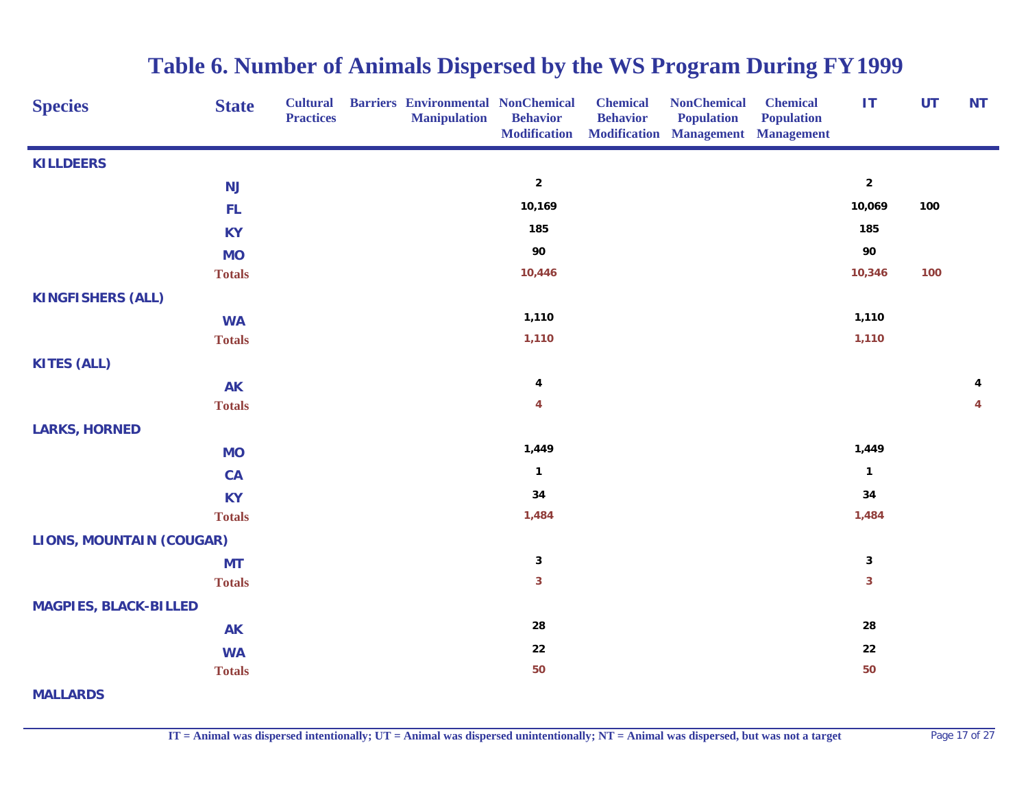| <b>Species</b>                  | <b>State</b>  | <b>Cultural</b><br><b>Practices</b> | <b>Barriers Environmental NonChemical</b><br><b>Manipulation</b> | <b>Behavior</b><br><b>Modification</b> | <b>Chemical</b><br><b>Behavior</b> | <b>NonChemical</b><br><b>Population</b><br><b>Modification Management Management</b> | <b>Chemical</b><br><b>Population</b> | IT                      | <b>UT</b> | <b>NT</b> |
|---------------------------------|---------------|-------------------------------------|------------------------------------------------------------------|----------------------------------------|------------------------------------|--------------------------------------------------------------------------------------|--------------------------------------|-------------------------|-----------|-----------|
| <b>KILLDEERS</b>                |               |                                     |                                                                  |                                        |                                    |                                                                                      |                                      |                         |           |           |
|                                 | <b>NJ</b>     |                                     |                                                                  | $\overline{2}$                         |                                    |                                                                                      |                                      | $\mathbf 2$             |           |           |
|                                 | <b>FL</b>     |                                     |                                                                  | 10,169                                 |                                    |                                                                                      |                                      | 10,069                  | 100       |           |
|                                 | <b>KY</b>     |                                     |                                                                  | 185                                    |                                    |                                                                                      |                                      | 185                     |           |           |
|                                 | <b>MO</b>     |                                     |                                                                  | 90                                     |                                    |                                                                                      |                                      | 90                      |           |           |
|                                 | <b>Totals</b> |                                     |                                                                  | 10,446                                 |                                    |                                                                                      |                                      | 10,346                  | 100       |           |
| <b>KINGFISHERS (ALL)</b>        |               |                                     |                                                                  |                                        |                                    |                                                                                      |                                      |                         |           |           |
|                                 | <b>WA</b>     |                                     |                                                                  | 1,110                                  |                                    |                                                                                      |                                      | 1,110                   |           |           |
|                                 | <b>Totals</b> |                                     |                                                                  | 1,110                                  |                                    |                                                                                      |                                      | 1,110                   |           |           |
| <b>KITES (ALL)</b>              |               |                                     |                                                                  |                                        |                                    |                                                                                      |                                      |                         |           |           |
|                                 | <b>AK</b>     |                                     |                                                                  | 4                                      |                                    |                                                                                      |                                      |                         |           | 4         |
|                                 | <b>Totals</b> |                                     |                                                                  | 4                                      |                                    |                                                                                      |                                      |                         |           | 4         |
| <b>LARKS, HORNED</b>            |               |                                     |                                                                  |                                        |                                    |                                                                                      |                                      |                         |           |           |
|                                 | <b>MO</b>     |                                     |                                                                  | 1,449                                  |                                    |                                                                                      |                                      | 1,449                   |           |           |
|                                 | CA            |                                     |                                                                  | $\mathbf{1}$                           |                                    |                                                                                      |                                      | $\mathbf{1}$            |           |           |
|                                 | <b>KY</b>     |                                     |                                                                  | 34                                     |                                    |                                                                                      |                                      | 34                      |           |           |
|                                 | <b>Totals</b> |                                     |                                                                  | 1,484                                  |                                    |                                                                                      |                                      | 1,484                   |           |           |
| <b>LIONS, MOUNTAIN (COUGAR)</b> |               |                                     |                                                                  |                                        |                                    |                                                                                      |                                      |                         |           |           |
|                                 | <b>MT</b>     |                                     |                                                                  | $\mathbf{3}$                           |                                    |                                                                                      |                                      | 3                       |           |           |
|                                 | <b>Totals</b> |                                     |                                                                  | $\overline{\mathbf{3}}$                |                                    |                                                                                      |                                      | $\overline{\mathbf{3}}$ |           |           |
| <b>MAGPIES, BLACK-BILLED</b>    |               |                                     |                                                                  |                                        |                                    |                                                                                      |                                      |                         |           |           |
|                                 | <b>AK</b>     |                                     |                                                                  | 28                                     |                                    |                                                                                      |                                      | 28                      |           |           |
|                                 | <b>WA</b>     |                                     |                                                                  | 22                                     |                                    |                                                                                      |                                      | ${\bf 22}$              |           |           |
|                                 | <b>Totals</b> |                                     |                                                                  | 50                                     |                                    |                                                                                      |                                      | 50                      |           |           |
| <b>MALLARDS</b>                 |               |                                     |                                                                  |                                        |                                    |                                                                                      |                                      |                         |           |           |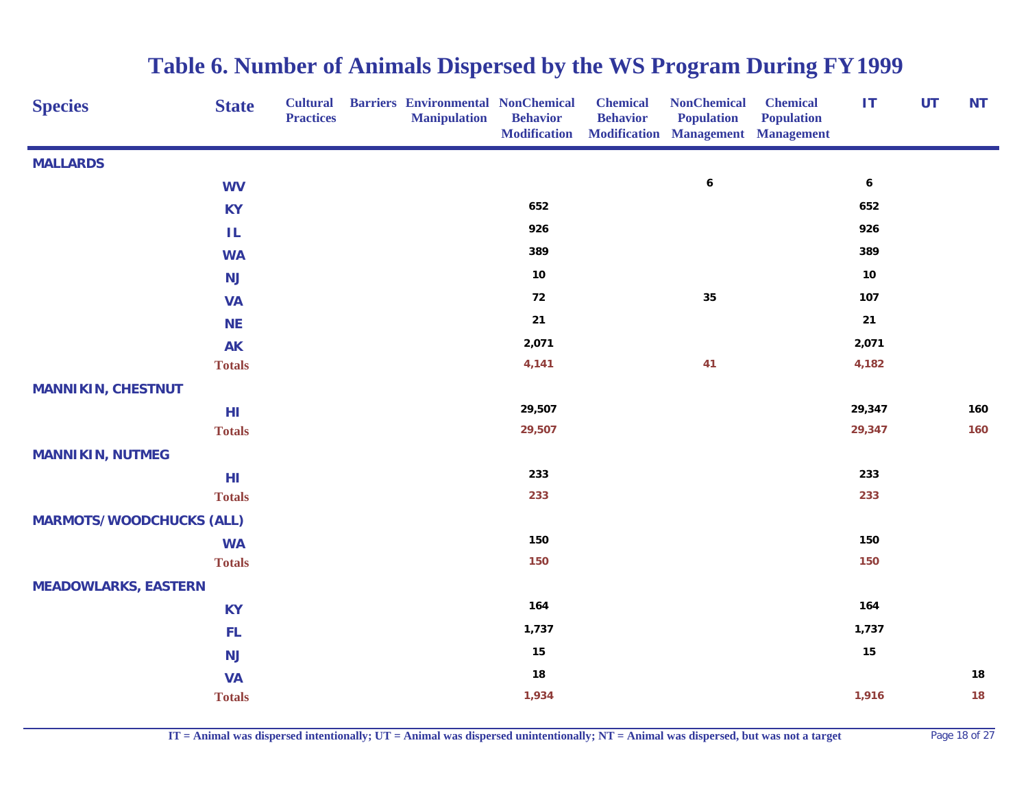| <b>Species</b>                  | <b>State</b>  | <b>Cultural</b><br><b>Practices</b> | <b>Barriers Environmental NonChemical</b><br><b>Manipulation</b> | <b>Behavior</b><br><b>Modification</b> | <b>Chemical</b><br><b>Behavior</b> | <b>NonChemical</b><br><b>Population</b><br><b>Modification Management Management</b> | <b>Chemical</b><br><b>Population</b> | IT               | <b>UT</b> | <b>NT</b> |
|---------------------------------|---------------|-------------------------------------|------------------------------------------------------------------|----------------------------------------|------------------------------------|--------------------------------------------------------------------------------------|--------------------------------------|------------------|-----------|-----------|
| <b>MALLARDS</b>                 |               |                                     |                                                                  |                                        |                                    |                                                                                      |                                      |                  |           |           |
|                                 | <b>WV</b>     |                                     |                                                                  |                                        |                                    | $\pmb{6}$                                                                            |                                      | $\boldsymbol{6}$ |           |           |
|                                 | <b>KY</b>     |                                     |                                                                  | 652                                    |                                    |                                                                                      |                                      | 652              |           |           |
|                                 | ΙL            |                                     |                                                                  | 926                                    |                                    |                                                                                      |                                      | 926              |           |           |
|                                 | <b>WA</b>     |                                     |                                                                  | 389                                    |                                    |                                                                                      |                                      | 389              |           |           |
|                                 | <b>NJ</b>     |                                     |                                                                  | $10$                                   |                                    |                                                                                      |                                      | $10$             |           |           |
|                                 | <b>VA</b>     |                                     |                                                                  | 72                                     |                                    | 35                                                                                   |                                      | 107              |           |           |
|                                 | <b>NE</b>     |                                     |                                                                  | $21$                                   |                                    |                                                                                      |                                      | $21$             |           |           |
|                                 | <b>AK</b>     |                                     |                                                                  | 2,071                                  |                                    |                                                                                      |                                      | 2,071            |           |           |
|                                 | <b>Totals</b> |                                     |                                                                  | 4,141                                  |                                    | 41                                                                                   |                                      | 4,182            |           |           |
| <b>MANNIKIN, CHESTNUT</b>       |               |                                     |                                                                  |                                        |                                    |                                                                                      |                                      |                  |           |           |
|                                 | HI            |                                     |                                                                  | 29,507                                 |                                    |                                                                                      |                                      | 29,347           |           | 160       |
|                                 | <b>Totals</b> |                                     |                                                                  | 29,507                                 |                                    |                                                                                      |                                      | 29,347           |           | 160       |
| <b>MANNIKIN, NUTMEG</b>         |               |                                     |                                                                  |                                        |                                    |                                                                                      |                                      |                  |           |           |
|                                 | HI            |                                     |                                                                  | 233                                    |                                    |                                                                                      |                                      | 233              |           |           |
|                                 | <b>Totals</b> |                                     |                                                                  | 233                                    |                                    |                                                                                      |                                      | 233              |           |           |
| <b>MARMOTS/WOODCHUCKS (ALL)</b> |               |                                     |                                                                  |                                        |                                    |                                                                                      |                                      |                  |           |           |
|                                 | <b>WA</b>     |                                     |                                                                  | 150                                    |                                    |                                                                                      |                                      | 150              |           |           |
|                                 | <b>Totals</b> |                                     |                                                                  | 150                                    |                                    |                                                                                      |                                      | 150              |           |           |
| <b>MEADOWLARKS, EASTERN</b>     |               |                                     |                                                                  |                                        |                                    |                                                                                      |                                      |                  |           |           |
|                                 | <b>KY</b>     |                                     |                                                                  | 164                                    |                                    |                                                                                      |                                      | 164              |           |           |
|                                 | FL.           |                                     |                                                                  | 1,737                                  |                                    |                                                                                      |                                      | 1,737            |           |           |
|                                 | <b>NJ</b>     |                                     |                                                                  | 15                                     |                                    |                                                                                      |                                      | 15               |           |           |
|                                 | <b>VA</b>     |                                     |                                                                  | 18                                     |                                    |                                                                                      |                                      |                  |           | 18        |
|                                 | <b>Totals</b> |                                     |                                                                  | 1,934                                  |                                    |                                                                                      |                                      | 1,916            |           | 18        |

**IT = Animal was dispersed intentionally; UT = Animal was dispersed unintentionally; NT = Animal was dispersed, but was not a target** Page 18 of 27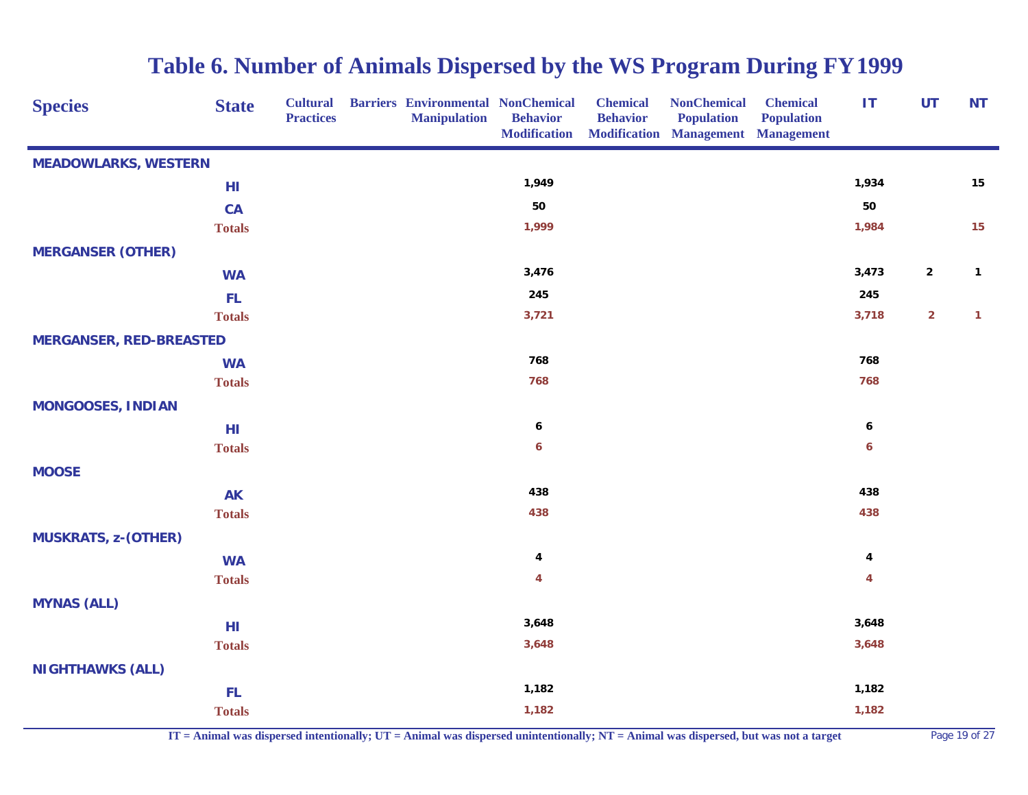| <b>Species</b>                 | <b>State</b>  | <b>Cultural</b><br><b>Practices</b> | <b>Barriers Environmental NonChemical</b><br><b>Manipulation</b> | <b>Behavior</b><br><b>Modification</b> | <b>Chemical</b><br><b>Behavior</b> | <b>NonChemical</b><br><b>Population</b><br><b>Modification Management Management</b> | <b>Chemical</b><br><b>Population</b> | IT                      | <b>UT</b>               | <b>NT</b>    |
|--------------------------------|---------------|-------------------------------------|------------------------------------------------------------------|----------------------------------------|------------------------------------|--------------------------------------------------------------------------------------|--------------------------------------|-------------------------|-------------------------|--------------|
| <b>MEADOWLARKS, WESTERN</b>    |               |                                     |                                                                  |                                        |                                    |                                                                                      |                                      |                         |                         |              |
|                                | HI            |                                     |                                                                  | 1,949                                  |                                    |                                                                                      |                                      | 1,934                   |                         | 15           |
|                                | <b>CA</b>     |                                     |                                                                  | 50                                     |                                    |                                                                                      |                                      | 50                      |                         |              |
|                                | <b>Totals</b> |                                     |                                                                  | 1,999                                  |                                    |                                                                                      |                                      | 1,984                   |                         | 15           |
| <b>MERGANSER (OTHER)</b>       |               |                                     |                                                                  |                                        |                                    |                                                                                      |                                      |                         |                         |              |
|                                | <b>WA</b>     |                                     |                                                                  | 3,476                                  |                                    |                                                                                      |                                      | 3,473                   | $\mathbf{2}$            | $\mathbf{1}$ |
|                                | <b>FL</b>     |                                     |                                                                  | 245                                    |                                    |                                                                                      |                                      | 245                     |                         |              |
|                                | <b>Totals</b> |                                     |                                                                  | 3,721                                  |                                    |                                                                                      |                                      | 3,718                   | $\overline{\mathbf{2}}$ | $\mathbf{1}$ |
| <b>MERGANSER, RED-BREASTED</b> |               |                                     |                                                                  |                                        |                                    |                                                                                      |                                      |                         |                         |              |
|                                | <b>WA</b>     |                                     |                                                                  | 768                                    |                                    |                                                                                      |                                      | 768                     |                         |              |
|                                | <b>Totals</b> |                                     |                                                                  | 768                                    |                                    |                                                                                      |                                      | 768                     |                         |              |
| <b>MONGOOSES, INDIAN</b>       |               |                                     |                                                                  |                                        |                                    |                                                                                      |                                      |                         |                         |              |
|                                | HI            |                                     |                                                                  | 6                                      |                                    |                                                                                      |                                      | $\boldsymbol{6}$        |                         |              |
|                                | <b>Totals</b> |                                     |                                                                  | 6                                      |                                    |                                                                                      |                                      | 6                       |                         |              |
| <b>MOOSE</b>                   |               |                                     |                                                                  |                                        |                                    |                                                                                      |                                      |                         |                         |              |
|                                | <b>AK</b>     |                                     |                                                                  | 438                                    |                                    |                                                                                      |                                      | 438                     |                         |              |
|                                | <b>Totals</b> |                                     |                                                                  | 438                                    |                                    |                                                                                      |                                      | 438                     |                         |              |
| <b>MUSKRATS, z-(OTHER)</b>     |               |                                     |                                                                  |                                        |                                    |                                                                                      |                                      |                         |                         |              |
|                                | <b>WA</b>     |                                     |                                                                  | 4                                      |                                    |                                                                                      |                                      | $\overline{\mathbf{4}}$ |                         |              |
|                                | <b>Totals</b> |                                     |                                                                  | $\overline{\mathbf{4}}$                |                                    |                                                                                      |                                      | 4                       |                         |              |
| <b>MYNAS (ALL)</b>             |               |                                     |                                                                  |                                        |                                    |                                                                                      |                                      |                         |                         |              |
|                                | HI            |                                     |                                                                  | 3,648                                  |                                    |                                                                                      |                                      | 3,648                   |                         |              |
|                                | <b>Totals</b> |                                     |                                                                  | 3,648                                  |                                    |                                                                                      |                                      | 3,648                   |                         |              |
| <b>NIGHTHAWKS (ALL)</b>        |               |                                     |                                                                  |                                        |                                    |                                                                                      |                                      |                         |                         |              |
|                                | FL.           |                                     |                                                                  | 1,182                                  |                                    |                                                                                      |                                      | 1,182                   |                         |              |
|                                | <b>Totals</b> |                                     |                                                                  | 1,182                                  |                                    |                                                                                      |                                      | 1,182                   |                         |              |

**IT = Animal was dispersed intentionally; UT = Animal was dispersed unintentionally; NT = Animal was dispersed, but was not a target** Page 19 of 27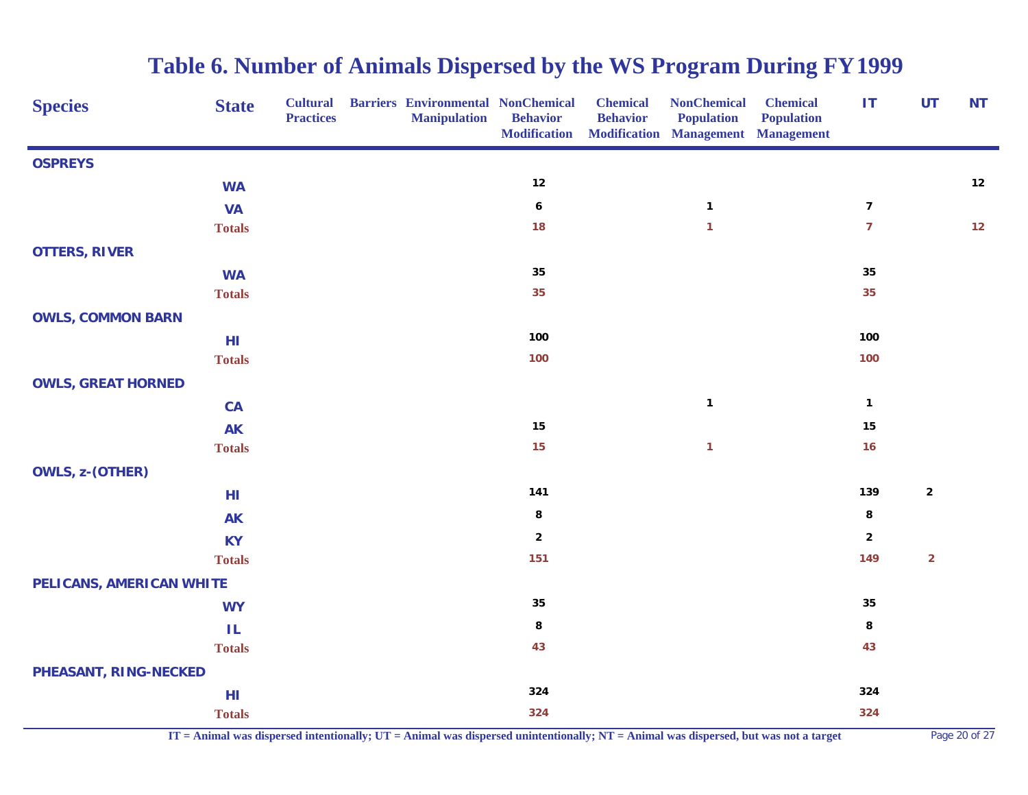| <b>Species</b><br><b>State</b> | <b>Cultural</b><br><b>Practices</b> | <b>Barriers Environmental NonChemical</b><br><b>Manipulation</b> | <b>Behavior</b><br><b>Modification</b> | <b>Chemical</b><br><b>Behavior</b> | <b>NonChemical</b><br><b>Population</b><br>Modification Management Management | <b>Chemical</b><br><b>Population</b> | $\mathbf{I}$     | <b>UT</b>               | <b>NT</b> |
|--------------------------------|-------------------------------------|------------------------------------------------------------------|----------------------------------------|------------------------------------|-------------------------------------------------------------------------------|--------------------------------------|------------------|-------------------------|-----------|
| <b>OSPREYS</b>                 |                                     |                                                                  |                                        |                                    |                                                                               |                                      |                  |                         |           |
| <b>WA</b>                      |                                     |                                                                  | 12                                     |                                    |                                                                               |                                      |                  |                         | 12        |
| <b>VA</b>                      |                                     |                                                                  | $\pmb{6}$                              |                                    | $\mathbf{1}$                                                                  |                                      | $\boldsymbol{7}$ |                         |           |
| <b>Totals</b>                  |                                     |                                                                  | 18                                     |                                    | $\mathbf{1}$                                                                  |                                      | $\overline{7}$   |                         | $12$      |
| <b>OTTERS, RIVER</b>           |                                     |                                                                  |                                        |                                    |                                                                               |                                      |                  |                         |           |
| <b>WA</b>                      |                                     |                                                                  | ${\bf 35}$                             |                                    |                                                                               |                                      | 35               |                         |           |
| <b>Totals</b>                  |                                     |                                                                  | 35                                     |                                    |                                                                               |                                      | 35               |                         |           |
| <b>OWLS, COMMON BARN</b>       |                                     |                                                                  |                                        |                                    |                                                                               |                                      |                  |                         |           |
| HI                             |                                     |                                                                  | 100                                    |                                    |                                                                               |                                      | 100              |                         |           |
| <b>Totals</b>                  |                                     |                                                                  | 100                                    |                                    |                                                                               |                                      | 100              |                         |           |
| <b>OWLS, GREAT HORNED</b>      |                                     |                                                                  |                                        |                                    |                                                                               |                                      |                  |                         |           |
| CA                             |                                     |                                                                  |                                        |                                    | $\mathbf{1}$                                                                  |                                      | $\mathbf{1}$     |                         |           |
| <b>AK</b>                      |                                     |                                                                  | ${\bf 15}$                             |                                    |                                                                               |                                      | 15               |                         |           |
| <b>Totals</b>                  |                                     |                                                                  | 15                                     |                                    | $\mathbf{1}$                                                                  |                                      | 16               |                         |           |
| OWLS, z-(OTHER)                |                                     |                                                                  |                                        |                                    |                                                                               |                                      |                  |                         |           |
| HI                             |                                     |                                                                  | 141                                    |                                    |                                                                               |                                      | 139              | $\mathbf{2}$            |           |
| <b>AK</b>                      |                                     |                                                                  | 8                                      |                                    |                                                                               |                                      | $\bf8$           |                         |           |
| <b>KY</b>                      |                                     |                                                                  | $\overline{\mathbf{2}}$                |                                    |                                                                               |                                      | $\mathbf 2$      |                         |           |
| <b>Totals</b>                  |                                     |                                                                  | 151                                    |                                    |                                                                               |                                      | 149              | $\overline{\mathbf{c}}$ |           |
| PELICANS, AMERICAN WHITE       |                                     |                                                                  |                                        |                                    |                                                                               |                                      |                  |                         |           |
| <b>WY</b>                      |                                     |                                                                  | ${\bf 35}$                             |                                    |                                                                               |                                      | 35               |                         |           |
| IL.                            |                                     |                                                                  | 8                                      |                                    |                                                                               |                                      | 8                |                         |           |
| <b>Totals</b>                  |                                     |                                                                  | 43                                     |                                    |                                                                               |                                      | 43               |                         |           |
| PHEASANT, RING-NECKED          |                                     |                                                                  |                                        |                                    |                                                                               |                                      |                  |                         |           |
| HI                             |                                     |                                                                  | 324                                    |                                    |                                                                               |                                      | 324              |                         |           |
| <b>Totals</b>                  |                                     |                                                                  | 324                                    |                                    |                                                                               |                                      | 324              |                         |           |

**IT = Animal was dispersed intentionally; UT = Animal was dispersed unintentionally; NT = Animal was dispersed, but was not a target** Page 20 of 27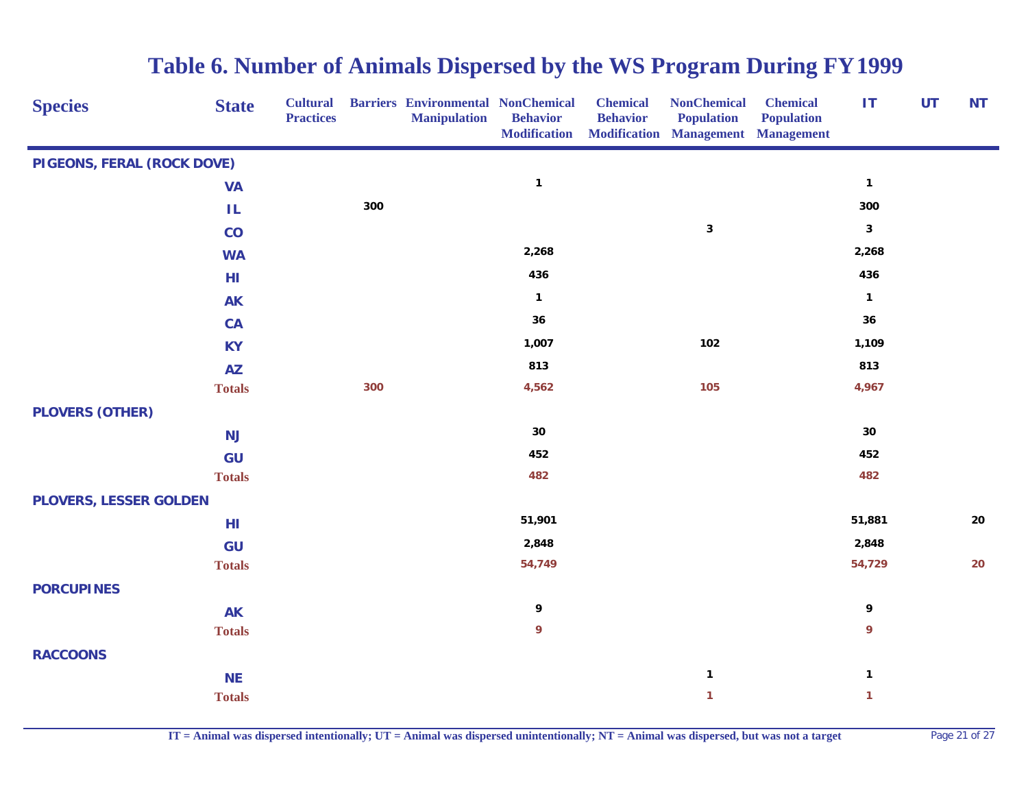| <b>Species</b>                | <b>State</b>  | <b>Cultural</b><br><b>Practices</b> |     | <b>Barriers Environmental NonChemical</b><br><b>Manipulation</b> | <b>Behavior</b><br><b>Modification</b> | <b>Chemical</b><br><b>Behavior</b> | <b>NonChemical</b><br><b>Population</b><br><b>Modification Management Management</b> | <b>Chemical</b><br><b>Population</b> | IT           | UT | <b>NT</b>  |
|-------------------------------|---------------|-------------------------------------|-----|------------------------------------------------------------------|----------------------------------------|------------------------------------|--------------------------------------------------------------------------------------|--------------------------------------|--------------|----|------------|
| PIGEONS, FERAL (ROCK DOVE)    |               |                                     |     |                                                                  |                                        |                                    |                                                                                      |                                      |              |    |            |
|                               | <b>VA</b>     |                                     |     |                                                                  | $\mathbf{1}$                           |                                    |                                                                                      |                                      | $\mathbf{1}$ |    |            |
|                               | $\mathsf{IL}$ |                                     | 300 |                                                                  |                                        |                                    |                                                                                      |                                      | 300          |    |            |
|                               | $\mathbf{CO}$ |                                     |     |                                                                  |                                        |                                    | $\mathbf 3$                                                                          |                                      | $\mathbf 3$  |    |            |
|                               | <b>WA</b>     |                                     |     |                                                                  | 2,268                                  |                                    |                                                                                      |                                      | 2,268        |    |            |
|                               | HI            |                                     |     |                                                                  | 436                                    |                                    |                                                                                      |                                      | 436          |    |            |
|                               | <b>AK</b>     |                                     |     |                                                                  | $\mathbf{1}$                           |                                    |                                                                                      |                                      | $\mathbf{1}$ |    |            |
|                               | CA            |                                     |     |                                                                  | 36                                     |                                    |                                                                                      |                                      | 36           |    |            |
|                               | <b>KY</b>     |                                     |     |                                                                  | 1,007                                  |                                    | 102                                                                                  |                                      | 1,109        |    |            |
|                               | <b>AZ</b>     |                                     |     |                                                                  | 813                                    |                                    |                                                                                      |                                      | 813          |    |            |
|                               | <b>Totals</b> |                                     | 300 |                                                                  | 4,562                                  |                                    | 105                                                                                  |                                      | 4,967        |    |            |
| <b>PLOVERS (OTHER)</b>        |               |                                     |     |                                                                  |                                        |                                    |                                                                                      |                                      |              |    |            |
|                               | NJ            |                                     |     |                                                                  | 30                                     |                                    |                                                                                      |                                      | 30           |    |            |
|                               | GU            |                                     |     |                                                                  | 452                                    |                                    |                                                                                      |                                      | 452          |    |            |
|                               | <b>Totals</b> |                                     |     |                                                                  | 482                                    |                                    |                                                                                      |                                      | 482          |    |            |
| <b>PLOVERS, LESSER GOLDEN</b> |               |                                     |     |                                                                  |                                        |                                    |                                                                                      |                                      |              |    |            |
|                               | HI            |                                     |     |                                                                  | 51,901                                 |                                    |                                                                                      |                                      | 51,881       |    | ${\bf 20}$ |
|                               | GU            |                                     |     |                                                                  | 2,848                                  |                                    |                                                                                      |                                      | 2,848        |    |            |
|                               | <b>Totals</b> |                                     |     |                                                                  | 54,749                                 |                                    |                                                                                      |                                      | 54,729       |    | 20         |
| <b>PORCUPINES</b>             |               |                                     |     |                                                                  |                                        |                                    |                                                                                      |                                      |              |    |            |
|                               | <b>AK</b>     |                                     |     |                                                                  | 9                                      |                                    |                                                                                      |                                      | 9            |    |            |
|                               | <b>Totals</b> |                                     |     |                                                                  | 9                                      |                                    |                                                                                      |                                      | 9            |    |            |
| <b>RACCOONS</b>               |               |                                     |     |                                                                  |                                        |                                    |                                                                                      |                                      |              |    |            |
|                               | <b>NE</b>     |                                     |     |                                                                  |                                        |                                    | $\mathbf{1}$                                                                         |                                      | $\mathbf{1}$ |    |            |
|                               | <b>Totals</b> |                                     |     |                                                                  |                                        |                                    | $\mathbf{1}$                                                                         |                                      | $\mathbf{1}$ |    |            |

**IT = Animal was dispersed intentionally; UT = Animal was dispersed unintentionally; NT = Animal was dispersed, but was not a target** Page 21 of 27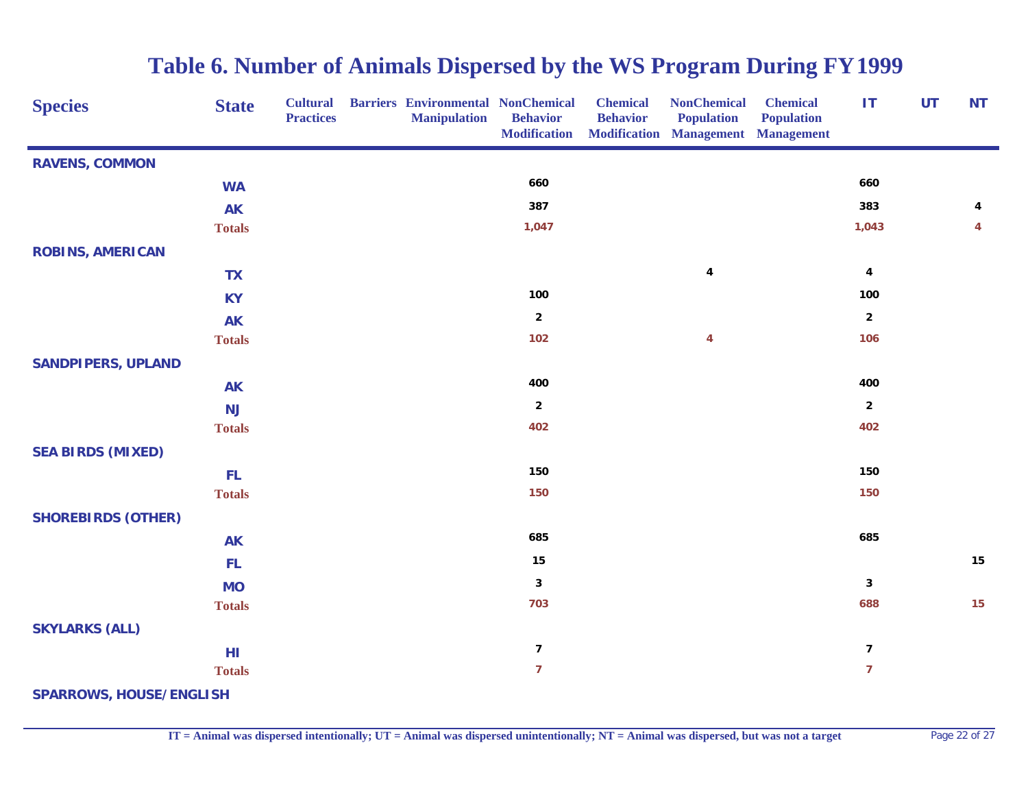| <b>Species</b>                 | <b>State</b>  | <b>Cultural</b><br><b>Practices</b> | <b>Barriers Environmental NonChemical</b><br><b>Manipulation</b> | <b>Behavior</b><br><b>Modification</b> | <b>Chemical</b><br><b>Behavior</b> | <b>NonChemical</b><br><b>Population</b><br>Modification Management Management | <b>Chemical</b><br><b>Population</b> | <b>IT</b>               | <b>UT</b> | <b>NT</b> |
|--------------------------------|---------------|-------------------------------------|------------------------------------------------------------------|----------------------------------------|------------------------------------|-------------------------------------------------------------------------------|--------------------------------------|-------------------------|-----------|-----------|
| <b>RAVENS, COMMON</b>          |               |                                     |                                                                  |                                        |                                    |                                                                               |                                      |                         |           |           |
|                                | <b>WA</b>     |                                     |                                                                  | 660                                    |                                    |                                                                               |                                      | 660                     |           |           |
|                                | <b>AK</b>     |                                     |                                                                  | 387                                    |                                    |                                                                               |                                      | 383                     |           | 4         |
|                                | <b>Totals</b> |                                     |                                                                  | 1,047                                  |                                    |                                                                               |                                      | 1,043                   |           | 4         |
| <b>ROBINS, AMERICAN</b>        |               |                                     |                                                                  |                                        |                                    |                                                                               |                                      |                         |           |           |
|                                | <b>TX</b>     |                                     |                                                                  |                                        |                                    | $\pmb{4}$                                                                     |                                      | $\pmb{4}$               |           |           |
|                                | <b>KY</b>     |                                     |                                                                  | 100                                    |                                    |                                                                               |                                      | 100                     |           |           |
|                                | <b>AK</b>     |                                     |                                                                  | $\overline{2}$                         |                                    |                                                                               |                                      | $\overline{2}$          |           |           |
|                                | <b>Totals</b> |                                     |                                                                  | 102                                    |                                    | 4                                                                             |                                      | 106                     |           |           |
| <b>SANDPIPERS, UPLAND</b>      |               |                                     |                                                                  |                                        |                                    |                                                                               |                                      |                         |           |           |
|                                | <b>AK</b>     |                                     |                                                                  | 400                                    |                                    |                                                                               |                                      | 400                     |           |           |
|                                | NJ            |                                     |                                                                  | $\overline{2}$                         |                                    |                                                                               |                                      | $\overline{2}$          |           |           |
|                                | <b>Totals</b> |                                     |                                                                  | 402                                    |                                    |                                                                               |                                      | 402                     |           |           |
| <b>SEA BIRDS (MIXED)</b>       |               |                                     |                                                                  |                                        |                                    |                                                                               |                                      |                         |           |           |
|                                | FL            |                                     |                                                                  | 150                                    |                                    |                                                                               |                                      | 150                     |           |           |
|                                | <b>Totals</b> |                                     |                                                                  | 150                                    |                                    |                                                                               |                                      | 150                     |           |           |
| <b>SHOREBIRDS (OTHER)</b>      |               |                                     |                                                                  |                                        |                                    |                                                                               |                                      |                         |           |           |
|                                | <b>AK</b>     |                                     |                                                                  | 685                                    |                                    |                                                                               |                                      | 685                     |           |           |
|                                | FL            |                                     |                                                                  | 15                                     |                                    |                                                                               |                                      |                         |           | 15        |
|                                | <b>MO</b>     |                                     |                                                                  | $\mathbf{3}$                           |                                    |                                                                               |                                      | 3                       |           |           |
|                                | <b>Totals</b> |                                     |                                                                  | 703                                    |                                    |                                                                               |                                      | 688                     |           | 15        |
| <b>SKYLARKS (ALL)</b>          |               |                                     |                                                                  |                                        |                                    |                                                                               |                                      |                         |           |           |
|                                | HI            |                                     |                                                                  | $\overline{\mathbf{z}}$                |                                    |                                                                               |                                      | $\overline{\mathbf{z}}$ |           |           |
|                                | <b>Totals</b> |                                     |                                                                  | $\overline{7}$                         |                                    |                                                                               |                                      | $\overline{7}$          |           |           |
| <b>SPARROWS, HOUSE/ENGLISH</b> |               |                                     |                                                                  |                                        |                                    |                                                                               |                                      |                         |           |           |

**IT = Animal was dispersed intentionally; UT = Animal was dispersed unintentionally; NT = Animal was dispersed, but was not a target** Page 22 of 27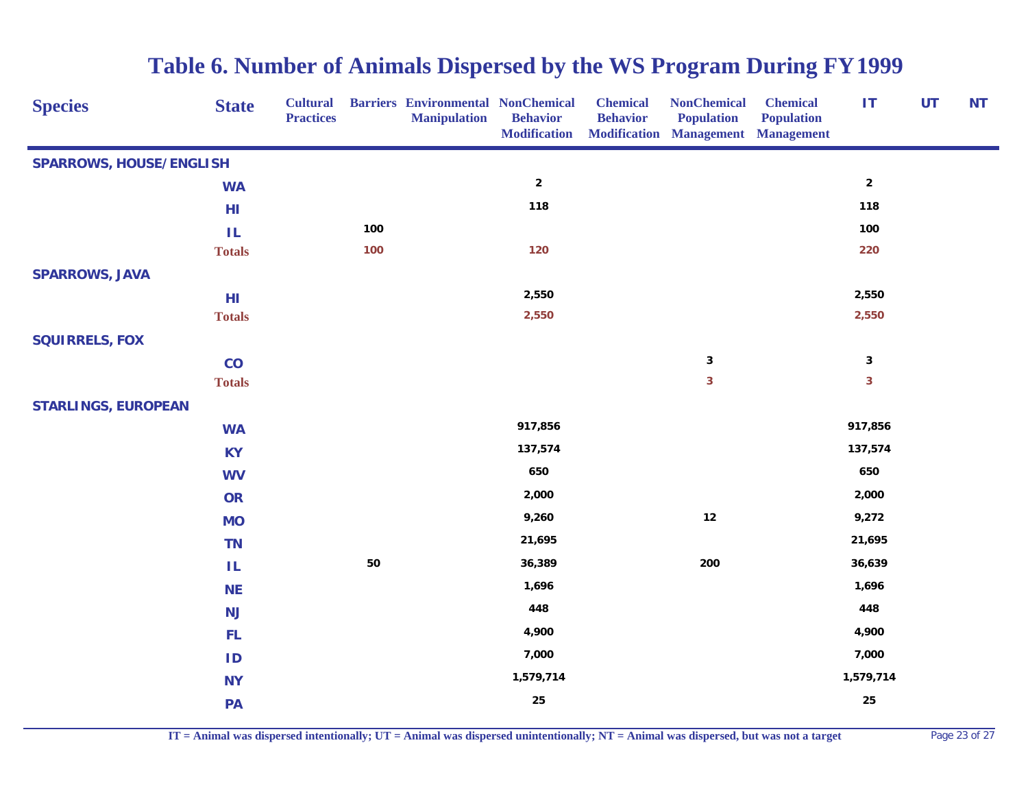| <b>Species</b>                 | <b>State</b>  | <b>Cultural</b><br><b>Practices</b> |            | <b>Barriers Environmental NonChemical</b><br><b>Manipulation</b> | <b>Behavior</b><br><b>Modification</b> | <b>Chemical</b><br><b>Behavior</b> | <b>NonChemical</b><br><b>Population</b><br><b>Modification Management Management</b> | <b>Chemical</b><br><b>Population</b> | <b>IT</b>               | UT | <b>NT</b> |
|--------------------------------|---------------|-------------------------------------|------------|------------------------------------------------------------------|----------------------------------------|------------------------------------|--------------------------------------------------------------------------------------|--------------------------------------|-------------------------|----|-----------|
| <b>SPARROWS, HOUSE/ENGLISH</b> |               |                                     |            |                                                                  |                                        |                                    |                                                                                      |                                      |                         |    |           |
|                                | <b>WA</b>     |                                     |            |                                                                  | $\boldsymbol{2}$                       |                                    |                                                                                      |                                      | $\overline{2}$          |    |           |
|                                | HI            |                                     |            |                                                                  | 118                                    |                                    |                                                                                      |                                      | 118                     |    |           |
|                                | TL.           |                                     | 100        |                                                                  |                                        |                                    |                                                                                      |                                      | 100                     |    |           |
|                                | <b>Totals</b> |                                     | 100        |                                                                  | 120                                    |                                    |                                                                                      |                                      | 220                     |    |           |
| <b>SPARROWS, JAVA</b>          |               |                                     |            |                                                                  |                                        |                                    |                                                                                      |                                      |                         |    |           |
|                                | HI            |                                     |            |                                                                  | 2,550                                  |                                    |                                                                                      |                                      | 2,550                   |    |           |
|                                | <b>Totals</b> |                                     |            |                                                                  | 2,550                                  |                                    |                                                                                      |                                      | 2,550                   |    |           |
| <b>SQUIRRELS, FOX</b>          |               |                                     |            |                                                                  |                                        |                                    |                                                                                      |                                      |                         |    |           |
|                                | CO            |                                     |            |                                                                  |                                        |                                    | $\mathbf 3$                                                                          |                                      | $\mathbf{3}$            |    |           |
|                                | <b>Totals</b> |                                     |            |                                                                  |                                        |                                    | $\overline{\mathbf{3}}$                                                              |                                      | $\overline{\mathbf{3}}$ |    |           |
| <b>STARLINGS, EUROPEAN</b>     |               |                                     |            |                                                                  |                                        |                                    |                                                                                      |                                      |                         |    |           |
|                                | <b>WA</b>     |                                     |            |                                                                  | 917,856                                |                                    |                                                                                      |                                      | 917,856                 |    |           |
|                                | <b>KY</b>     |                                     |            |                                                                  | 137,574                                |                                    |                                                                                      |                                      | 137,574                 |    |           |
|                                | <b>WV</b>     |                                     |            |                                                                  | 650                                    |                                    |                                                                                      |                                      | 650                     |    |           |
|                                | <b>OR</b>     |                                     |            |                                                                  | 2,000                                  |                                    |                                                                                      |                                      | 2,000                   |    |           |
|                                | <b>MO</b>     |                                     |            |                                                                  | 9,260                                  |                                    | $12\,$                                                                               |                                      | 9,272                   |    |           |
|                                | <b>TN</b>     |                                     |            |                                                                  | 21,695                                 |                                    |                                                                                      |                                      | 21,695                  |    |           |
|                                | IL.           |                                     | ${\bf 50}$ |                                                                  | 36,389                                 |                                    | 200                                                                                  |                                      | 36,639                  |    |           |
|                                | <b>NE</b>     |                                     |            |                                                                  | 1,696                                  |                                    |                                                                                      |                                      | 1,696                   |    |           |
|                                | <b>NJ</b>     |                                     |            |                                                                  | 448                                    |                                    |                                                                                      |                                      | 448                     |    |           |
|                                | <b>FL</b>     |                                     |            |                                                                  | 4,900                                  |                                    |                                                                                      |                                      | 4,900                   |    |           |
|                                | ID            |                                     |            |                                                                  | 7,000                                  |                                    |                                                                                      |                                      | 7,000                   |    |           |
|                                | <b>NY</b>     |                                     |            |                                                                  | 1,579,714                              |                                    |                                                                                      |                                      | 1,579,714               |    |           |
|                                | PA            |                                     |            |                                                                  | 25                                     |                                    |                                                                                      |                                      | 25                      |    |           |
|                                |               |                                     |            |                                                                  |                                        |                                    |                                                                                      |                                      |                         |    |           |

**IT = Animal was dispersed intentionally; UT = Animal was dispersed unintentionally; NT = Animal was dispersed, but was not a target** Page 23 of 27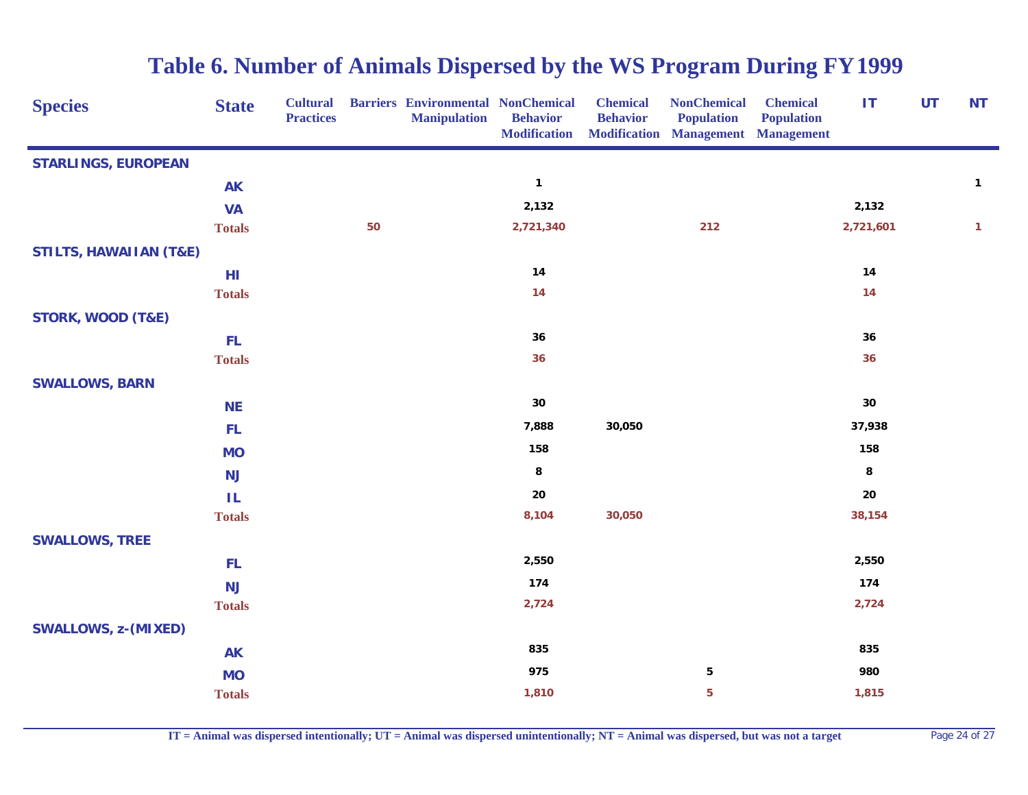| <b>Species</b>                    | <b>State</b>  | <b>Cultural</b><br><b>Practices</b> |    | <b>Barriers Environmental NonChemical</b><br><b>Manipulation</b> | <b>Behavior</b><br><b>Modification</b> | <b>Chemical</b><br><b>Behavior</b> | <b>NonChemical</b><br><b>Population</b><br><b>Modification Management Management</b> | <b>Chemical</b><br><b>Population</b> | IT         | <b>UT</b> | <b>NT</b>    |
|-----------------------------------|---------------|-------------------------------------|----|------------------------------------------------------------------|----------------------------------------|------------------------------------|--------------------------------------------------------------------------------------|--------------------------------------|------------|-----------|--------------|
| <b>STARLINGS, EUROPEAN</b>        |               |                                     |    |                                                                  |                                        |                                    |                                                                                      |                                      |            |           |              |
|                                   | <b>AK</b>     |                                     |    |                                                                  | $\mathbf{1}$                           |                                    |                                                                                      |                                      |            |           | $\mathbf{1}$ |
|                                   | <b>VA</b>     |                                     |    |                                                                  | 2,132                                  |                                    |                                                                                      |                                      | 2,132      |           |              |
|                                   | <b>Totals</b> |                                     | 50 |                                                                  | 2,721,340                              |                                    | 212                                                                                  |                                      | 2,721,601  |           | $\mathbf{1}$ |
| <b>STILTS, HAWAIIAN (T&amp;E)</b> |               |                                     |    |                                                                  |                                        |                                    |                                                                                      |                                      |            |           |              |
|                                   | HI            |                                     |    |                                                                  | 14                                     |                                    |                                                                                      |                                      | 14         |           |              |
|                                   | <b>Totals</b> |                                     |    |                                                                  | 14                                     |                                    |                                                                                      |                                      | 14         |           |              |
| <b>STORK, WOOD (T&amp;E)</b>      |               |                                     |    |                                                                  |                                        |                                    |                                                                                      |                                      |            |           |              |
|                                   | <b>FL</b>     |                                     |    |                                                                  | 36                                     |                                    |                                                                                      |                                      | 36         |           |              |
|                                   | <b>Totals</b> |                                     |    |                                                                  | 36                                     |                                    |                                                                                      |                                      | 36         |           |              |
| <b>SWALLOWS, BARN</b>             |               |                                     |    |                                                                  |                                        |                                    |                                                                                      |                                      |            |           |              |
|                                   | <b>NE</b>     |                                     |    |                                                                  | $30\,$                                 |                                    |                                                                                      |                                      | $30\,$     |           |              |
|                                   | <b>FL</b>     |                                     |    |                                                                  | 7,888                                  | 30,050                             |                                                                                      |                                      | 37,938     |           |              |
|                                   | <b>MO</b>     |                                     |    |                                                                  | 158                                    |                                    |                                                                                      |                                      | 158        |           |              |
|                                   | <b>NJ</b>     |                                     |    |                                                                  | 8                                      |                                    |                                                                                      |                                      | 8          |           |              |
|                                   | ΙL            |                                     |    |                                                                  | 20                                     |                                    |                                                                                      |                                      | ${\bf 20}$ |           |              |
|                                   | <b>Totals</b> |                                     |    |                                                                  | 8,104                                  | 30,050                             |                                                                                      |                                      | 38,154     |           |              |
| <b>SWALLOWS, TREE</b>             |               |                                     |    |                                                                  |                                        |                                    |                                                                                      |                                      |            |           |              |
|                                   | FL            |                                     |    |                                                                  | 2,550                                  |                                    |                                                                                      |                                      | 2,550      |           |              |
|                                   | <b>NJ</b>     |                                     |    |                                                                  | 174                                    |                                    |                                                                                      |                                      | 174        |           |              |
|                                   | <b>Totals</b> |                                     |    |                                                                  | 2,724                                  |                                    |                                                                                      |                                      | 2,724      |           |              |
| <b>SWALLOWS, z-(MIXED)</b>        |               |                                     |    |                                                                  |                                        |                                    |                                                                                      |                                      |            |           |              |
|                                   | <b>AK</b>     |                                     |    |                                                                  | 835                                    |                                    |                                                                                      |                                      | 835        |           |              |
|                                   | <b>MO</b>     |                                     |    |                                                                  | 975                                    |                                    | $\overline{\mathbf{5}}$                                                              |                                      | 980        |           |              |
|                                   | <b>Totals</b> |                                     |    |                                                                  | 1,810                                  |                                    | $\overline{\mathbf{5}}$                                                              |                                      | 1,815      |           |              |

**IT = Animal was dispersed intentionally; UT = Animal was dispersed unintentionally; NT = Animal was dispersed, but was not a target** Page 24 of 27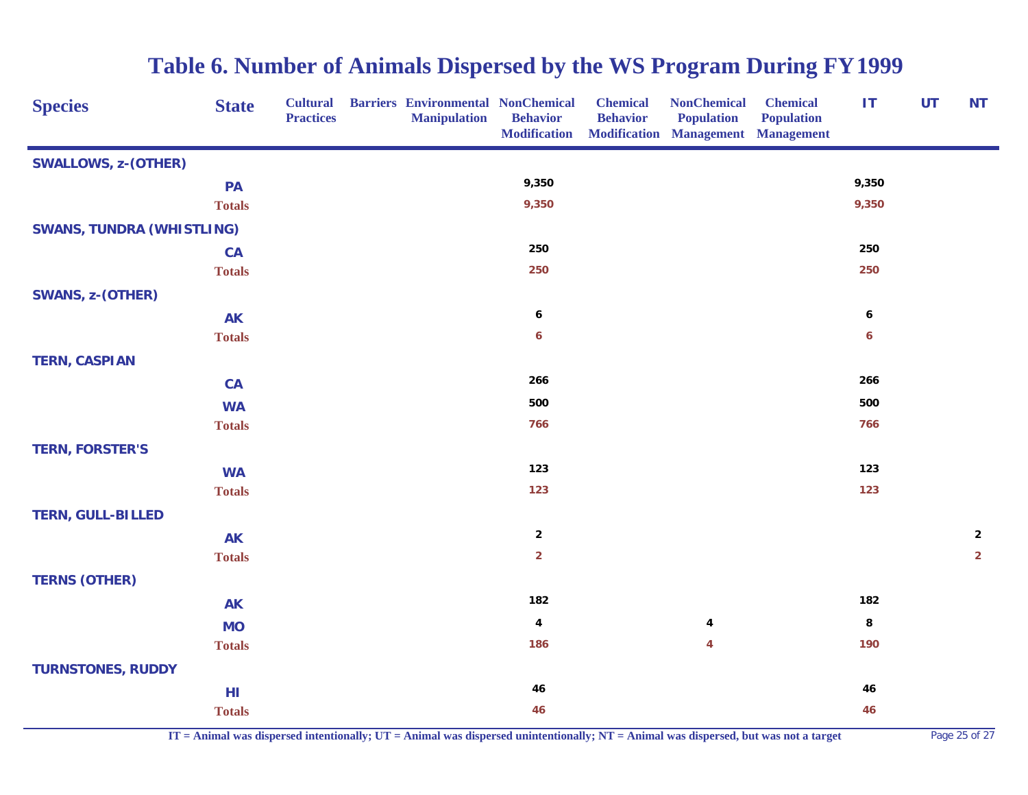| <b>Species</b>                   | <b>State</b>  | <b>Cultural</b><br><b>Practices</b> | <b>Barriers Environmental NonChemical</b><br><b>Manipulation</b> | <b>Behavior</b><br><b>Modification</b> | <b>Chemical</b><br><b>Behavior</b> | <b>NonChemical</b><br><b>Population</b><br><b>Modification Management Management</b> | <b>Chemical</b><br><b>Population</b> | IT    | <b>UT</b> | <b>NT</b>               |
|----------------------------------|---------------|-------------------------------------|------------------------------------------------------------------|----------------------------------------|------------------------------------|--------------------------------------------------------------------------------------|--------------------------------------|-------|-----------|-------------------------|
| <b>SWALLOWS, z-(OTHER)</b>       |               |                                     |                                                                  |                                        |                                    |                                                                                      |                                      |       |           |                         |
|                                  | PA            |                                     |                                                                  | 9,350                                  |                                    |                                                                                      |                                      | 9,350 |           |                         |
|                                  | <b>Totals</b> |                                     |                                                                  | 9,350                                  |                                    |                                                                                      |                                      | 9,350 |           |                         |
| <b>SWANS, TUNDRA (WHISTLING)</b> |               |                                     |                                                                  |                                        |                                    |                                                                                      |                                      |       |           |                         |
|                                  | CA            |                                     |                                                                  | 250                                    |                                    |                                                                                      |                                      | 250   |           |                         |
|                                  | <b>Totals</b> |                                     |                                                                  | 250                                    |                                    |                                                                                      |                                      | 250   |           |                         |
| <b>SWANS, z-(OTHER)</b>          |               |                                     |                                                                  |                                        |                                    |                                                                                      |                                      |       |           |                         |
|                                  | <b>AK</b>     |                                     |                                                                  | 6                                      |                                    |                                                                                      |                                      | 6     |           |                         |
|                                  | <b>Totals</b> |                                     |                                                                  | 6                                      |                                    |                                                                                      |                                      | 6     |           |                         |
| <b>TERN, CASPIAN</b>             |               |                                     |                                                                  |                                        |                                    |                                                                                      |                                      |       |           |                         |
|                                  | CA            |                                     |                                                                  | 266                                    |                                    |                                                                                      |                                      | 266   |           |                         |
|                                  | <b>WA</b>     |                                     |                                                                  | 500                                    |                                    |                                                                                      |                                      | 500   |           |                         |
|                                  | <b>Totals</b> |                                     |                                                                  | 766                                    |                                    |                                                                                      |                                      | 766   |           |                         |
| <b>TERN, FORSTER'S</b>           |               |                                     |                                                                  |                                        |                                    |                                                                                      |                                      |       |           |                         |
|                                  | <b>WA</b>     |                                     |                                                                  | 123                                    |                                    |                                                                                      |                                      | 123   |           |                         |
|                                  | <b>Totals</b> |                                     |                                                                  | 123                                    |                                    |                                                                                      |                                      | 123   |           |                         |
| <b>TERN, GULL-BILLED</b>         |               |                                     |                                                                  |                                        |                                    |                                                                                      |                                      |       |           |                         |
|                                  | <b>AK</b>     |                                     |                                                                  | $\overline{\mathbf{2}}$                |                                    |                                                                                      |                                      |       |           | $\overline{\mathbf{2}}$ |
|                                  | <b>Totals</b> |                                     |                                                                  | $\overline{2}$                         |                                    |                                                                                      |                                      |       |           | $\overline{2}$          |
| <b>TERNS (OTHER)</b>             |               |                                     |                                                                  |                                        |                                    |                                                                                      |                                      |       |           |                         |
|                                  | <b>AK</b>     |                                     |                                                                  | 182                                    |                                    |                                                                                      |                                      | 182   |           |                         |
|                                  | <b>MO</b>     |                                     |                                                                  | $\boldsymbol{4}$                       |                                    | $\overline{\mathbf{4}}$                                                              |                                      | 8     |           |                         |
|                                  | <b>Totals</b> |                                     |                                                                  | 186                                    |                                    | 4                                                                                    |                                      | 190   |           |                         |
| <b>TURNSTONES, RUDDY</b>         |               |                                     |                                                                  |                                        |                                    |                                                                                      |                                      |       |           |                         |
|                                  | HI            |                                     |                                                                  | 46                                     |                                    |                                                                                      |                                      | 46    |           |                         |
|                                  | <b>Totals</b> |                                     |                                                                  | 46                                     |                                    |                                                                                      |                                      | 46    |           |                         |

**IT = Animal was dispersed intentionally; UT = Animal was dispersed unintentionally; NT = Animal was dispersed, but was not a target** Page 25 of 27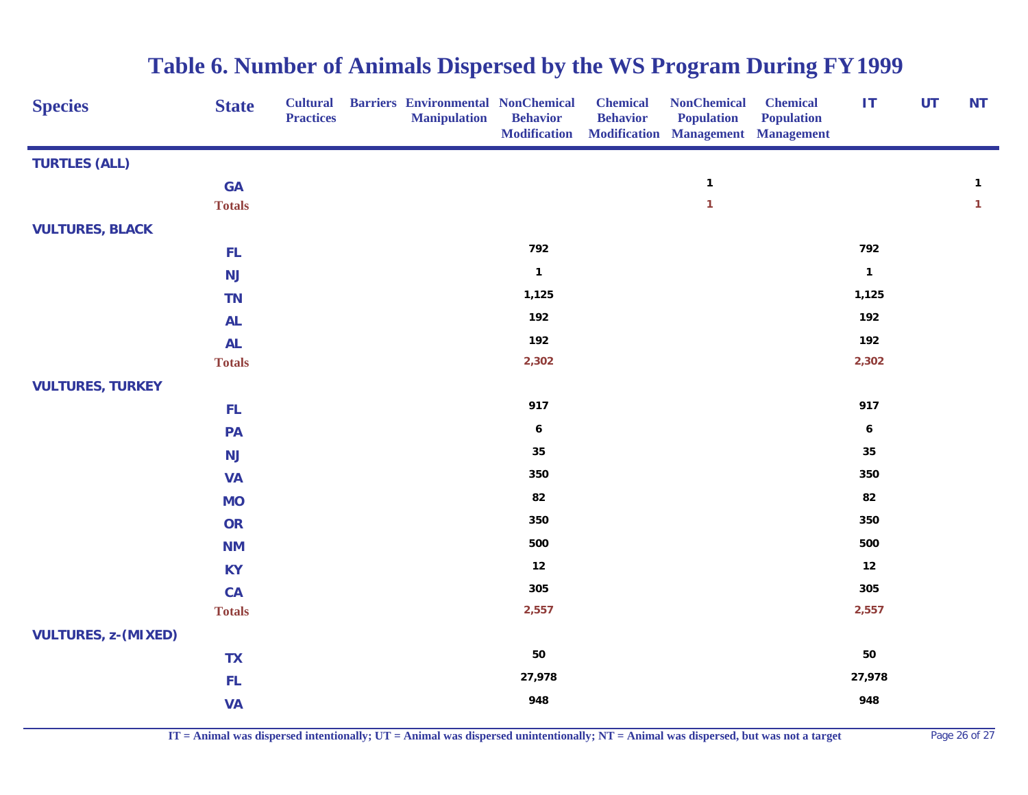| <b>Species</b>             | <b>State</b>  | <b>Cultural</b><br><b>Practices</b> | <b>Barriers Environmental NonChemical</b><br><b>Manipulation</b> | <b>Behavior</b><br><b>Modification</b> | <b>Chemical</b><br><b>Behavior</b> | <b>NonChemical</b><br><b>Population</b><br>Modification Management Management | <b>Chemical</b><br><b>Population</b> | IT               | UT | <b>NT</b>    |
|----------------------------|---------------|-------------------------------------|------------------------------------------------------------------|----------------------------------------|------------------------------------|-------------------------------------------------------------------------------|--------------------------------------|------------------|----|--------------|
| <b>TURTLES (ALL)</b>       |               |                                     |                                                                  |                                        |                                    |                                                                               |                                      |                  |    |              |
|                            | <b>GA</b>     |                                     |                                                                  |                                        |                                    | $\mathbf{1}$                                                                  |                                      |                  |    | $\mathbf{1}$ |
|                            | <b>Totals</b> |                                     |                                                                  |                                        |                                    | $\mathbf{1}$                                                                  |                                      |                  |    | $\mathbf{1}$ |
| <b>VULTURES, BLACK</b>     |               |                                     |                                                                  |                                        |                                    |                                                                               |                                      |                  |    |              |
|                            | <b>FL</b>     |                                     |                                                                  | 792                                    |                                    |                                                                               |                                      | 792              |    |              |
|                            | <b>NJ</b>     |                                     |                                                                  | $\mathbf{1}$                           |                                    |                                                                               |                                      | $\mathbf{1}$     |    |              |
|                            | <b>TN</b>     |                                     |                                                                  | 1,125                                  |                                    |                                                                               |                                      | 1,125            |    |              |
|                            | <b>AL</b>     |                                     |                                                                  | 192                                    |                                    |                                                                               |                                      | 192              |    |              |
|                            | <b>AL</b>     |                                     |                                                                  | 192                                    |                                    |                                                                               |                                      | 192              |    |              |
|                            | <b>Totals</b> |                                     |                                                                  | 2,302                                  |                                    |                                                                               |                                      | 2,302            |    |              |
| <b>VULTURES, TURKEY</b>    |               |                                     |                                                                  |                                        |                                    |                                                                               |                                      |                  |    |              |
|                            | FL            |                                     |                                                                  | 917                                    |                                    |                                                                               |                                      | 917              |    |              |
|                            | PA            |                                     |                                                                  | $\boldsymbol{6}$                       |                                    |                                                                               |                                      | $\boldsymbol{6}$ |    |              |
|                            | <b>NJ</b>     |                                     |                                                                  | 35                                     |                                    |                                                                               |                                      | 35               |    |              |
|                            | <b>VA</b>     |                                     |                                                                  | 350                                    |                                    |                                                                               |                                      | 350              |    |              |
|                            | <b>MO</b>     |                                     |                                                                  | 82                                     |                                    |                                                                               |                                      | 82               |    |              |
|                            | OR            |                                     |                                                                  | 350                                    |                                    |                                                                               |                                      | 350              |    |              |
|                            | <b>NM</b>     |                                     |                                                                  | 500                                    |                                    |                                                                               |                                      | 500              |    |              |
|                            | <b>KY</b>     |                                     |                                                                  | 12                                     |                                    |                                                                               |                                      | 12               |    |              |
|                            | <b>CA</b>     |                                     |                                                                  | 305                                    |                                    |                                                                               |                                      | 305              |    |              |
|                            | <b>Totals</b> |                                     |                                                                  | 2,557                                  |                                    |                                                                               |                                      | 2,557            |    |              |
| <b>VULTURES, z-(MIXED)</b> |               |                                     |                                                                  |                                        |                                    |                                                                               |                                      |                  |    |              |
|                            | <b>TX</b>     |                                     |                                                                  | 50                                     |                                    |                                                                               |                                      | 50               |    |              |
|                            | FL            |                                     |                                                                  | 27,978                                 |                                    |                                                                               |                                      | 27,978           |    |              |
|                            | <b>VA</b>     |                                     |                                                                  | 948                                    |                                    |                                                                               |                                      | 948              |    |              |

**IT = Animal was dispersed intentionally; UT = Animal was dispersed unintentionally; NT = Animal was dispersed, but was not a target** Page 26 of 27